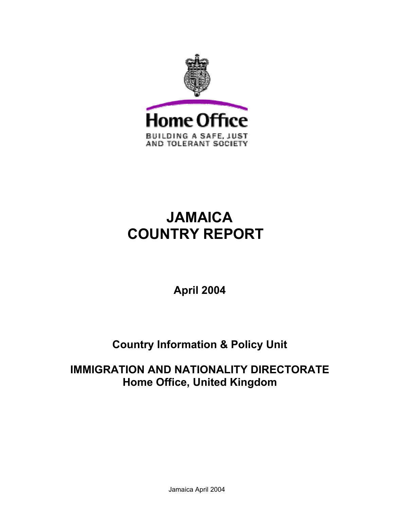

# **JAMAICA COUNTRY REPORT**

**April 2004** 

## **Country Information & Policy Unit**

## **IMMIGRATION AND NATIONALITY DIRECTORATE Home Office, United Kingdom**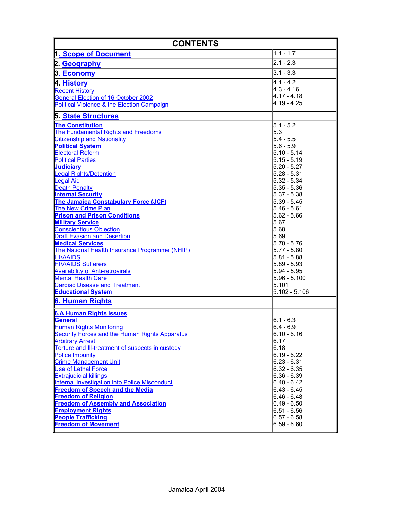| <b>CONTENTS</b>                                                                                                                                                                                                                                                                                                                                                                                                                                                                                                                                                                                                                                                                                                                                                                                                          |                                                                                                                                                                                                                                                                                                                                                     |  |
|--------------------------------------------------------------------------------------------------------------------------------------------------------------------------------------------------------------------------------------------------------------------------------------------------------------------------------------------------------------------------------------------------------------------------------------------------------------------------------------------------------------------------------------------------------------------------------------------------------------------------------------------------------------------------------------------------------------------------------------------------------------------------------------------------------------------------|-----------------------------------------------------------------------------------------------------------------------------------------------------------------------------------------------------------------------------------------------------------------------------------------------------------------------------------------------------|--|
| 1. Scope of Document                                                                                                                                                                                                                                                                                                                                                                                                                                                                                                                                                                                                                                                                                                                                                                                                     | $1.1 - 1.7$                                                                                                                                                                                                                                                                                                                                         |  |
| 2. Geography                                                                                                                                                                                                                                                                                                                                                                                                                                                                                                                                                                                                                                                                                                                                                                                                             | 2.1 - 2.3                                                                                                                                                                                                                                                                                                                                           |  |
| 3. Economy                                                                                                                                                                                                                                                                                                                                                                                                                                                                                                                                                                                                                                                                                                                                                                                                               | $3.1 - 3.3$                                                                                                                                                                                                                                                                                                                                         |  |
| 4. History<br><b>Recent History</b><br><b>General Election of 16 October 2002</b><br>Political Violence & the Election Campaign                                                                                                                                                                                                                                                                                                                                                                                                                                                                                                                                                                                                                                                                                          | 4.1 - 4.2<br>4.3 - 4.16<br>4.17 - 4.18<br>4.19 - 4.25                                                                                                                                                                                                                                                                                               |  |
| 5. State Structures                                                                                                                                                                                                                                                                                                                                                                                                                                                                                                                                                                                                                                                                                                                                                                                                      |                                                                                                                                                                                                                                                                                                                                                     |  |
| <b>The Constitution</b><br>The Fundamental Rights and Freedoms<br><b>Citizenship and Nationality</b><br><b>Political System</b><br><b>Electoral Reform</b><br><b>Political Parties</b><br><b>Judiciary</b><br>Legal Rights/Detention<br><b>Legal Aid</b><br><b>Death Penalty</b><br><b>Internal Security</b><br>The Jamaica Constabulary Force (JCF)<br><b>The New Crime Plan</b><br><b>Prison and Prison Conditions</b><br><b>Military Service</b><br><b>Conscientious Objection</b><br><b>Draft Evasion and Desertion</b><br><b>Medical Services</b><br>The National Health Insurance Programme (NHIP)<br><b>HIV/AIDS</b><br><b>HIV/AIDS Sufferers</b><br><b>Availability of Anti-retrovirals</b><br><b>Mental Health Care</b><br><b>Cardiac Disease and Treatment</b><br><b>Educational System</b><br>6. Human Rights | 5.1 - 5.2<br>5.3<br>5.4 - 5.5<br>5.6 - 5.9<br>5.10 - 5.14<br>5.15 - 5.19<br>5.20 - 5.27<br>5.28 - 5.31<br>5.32 - 5.34<br>5.35 - 5.36<br>5.37 - 5.38<br>5.39 - 5.45<br>5.46 - 5.61<br>5.62 - 5.66<br>5.67<br>5.68<br>5.69<br>$5.70 - 5.76$<br>$5.77 - 5.80$<br>5.81 - 5.88<br>5.89 - 5.93<br>5.94 - 5.95<br>5.96 - 5.100<br>5.101<br>$5.102 - 5.106$ |  |
| <b>6.A Human Rights issues</b>                                                                                                                                                                                                                                                                                                                                                                                                                                                                                                                                                                                                                                                                                                                                                                                           |                                                                                                                                                                                                                                                                                                                                                     |  |
| <b>General</b><br><b>Human Rights Monitoring</b><br><b>Security Forces and the Human Rights Apparatus</b><br><b>Arbitrary Arrest</b><br>Torture and III-treatment of suspects in custody<br>Police Impunity<br><b>Crime Management Unit</b><br>Use of Lethal Force<br><b>Extrajudicial killings</b><br>Internal Investigation into Police Misconduct<br><b>Freedom of Speech and the Media</b><br><b>Freedom of Religion</b><br><b>Freedom of Assembly and Association</b><br><b>Employment Rights</b><br><b>People Trafficking</b><br><b>Freedom of Movement</b>                                                                                                                                                                                                                                                        | 6.1 - 6.3<br>$6.4 - 6.9$<br>6.10 - 6.16<br>6.17<br>6.18<br>$6.19 - 6.22$<br>$6.23 - 6.31$<br>6.32 - 6.35<br>6.36 - 6.39<br>6.40 - 6.42<br>6.43 - 6.45<br>6.46 - 6.48<br>$6.49 - 6.50$<br>$6.51 - 6.56$<br>$6.57 - 6.58$<br>$6.59 - 6.60$                                                                                                            |  |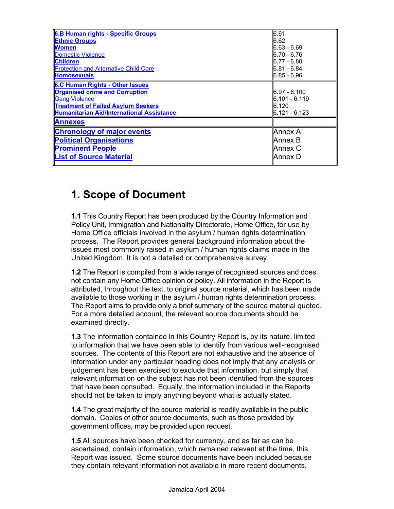| <b>6.B Human rights - Specific Groups</b>                                                                                                                                                                | 16.61                                                                                 |
|----------------------------------------------------------------------------------------------------------------------------------------------------------------------------------------------------------|---------------------------------------------------------------------------------------|
| <b>Ethnic Groups</b><br><b>Women</b><br>Domestic Violence<br><b>Children</b><br><b>Protection and Alternative Child Care</b><br><b>Homosexuals</b>                                                       | 16.62<br>16.63 - 6.69<br>16.70 - 6.76<br>16.77 - 6.80<br>16.81 - 6.84<br>16.85 - 6.96 |
| <b>6.C Human Rights - Other Issues</b><br><b>Organised crime and Corruption</b><br><b>Gang Violence</b><br><b>Treatment of Failed Asylum Seekers</b><br><b>Humanitarian Aid/International Assistance</b> | 16.97 - 6.100<br>16.101 - 6.119<br>16.120<br>16.121 - 6.123                           |
| <b>Annexes</b>                                                                                                                                                                                           |                                                                                       |
| <b>Chronology of major events</b><br><b>Political Organisations</b><br><b>Prominent People</b><br><b>List of Source Material</b>                                                                         | lAnnex A<br>lAnnex B<br>lAnnex C<br>lAnnex D                                          |

## **1. Scope of Document**

**1.1** This Country Report has been produced by the Country Information and Policy Unit, Immigration and Nationality Directorate, Home Office, for use by Home Office officials involved in the asylum / human rights determination process. The Report provides general background information about the issues most commonly raised in asylum / human rights claims made in the United Kingdom. It is not a detailed or comprehensive survey.

**1.2** The Report is compiled from a wide range of recognised sources and does not contain any Home Office opinion or policy. All information in the Report is attributed, throughout the text, to original source material, which has been made available to those working in the asylum / human rights determination process. The Report aims to provide only a brief summary of the source material quoted. For a more detailed account, the relevant source documents should be examined directly.

**1.3** The information contained in this Country Report is, by its nature, limited to information that we have been able to identify from various well-recognised sources. The contents of this Report are not exhaustive and the absence of information under any particular heading does not imply that any analysis or judgement has been exercised to exclude that information, but simply that relevant information on the subject has not been identified from the sources that have been consulted. Equally, the information included in the Reports should not be taken to imply anything beyond what is actually stated.

**1.4** The great majority of the source material is readily available in the public domain. Copies of other source documents, such as those provided by government offices, may be provided upon request.

**1.5** All sources have been checked for currency, and as far as can be ascertained, contain information, which remained relevant at the time, this Report was issued. Some source documents have been included because they contain relevant information not available in more recent documents.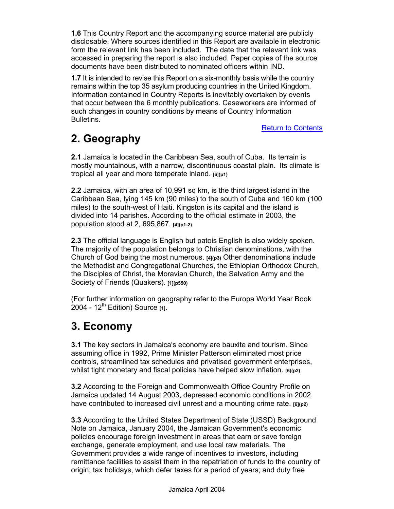**1.6** This Country Report and the accompanying source material are publicly disclosable. Where sources identified in this Report are available in electronic form the relevant link has been included. The date that the relevant link was accessed in preparing the report is also included. Paper copies of the source documents have been distributed to nominated officers within IND.

**1.7** It is intended to revise this Report on a six-monthly basis while the country remains within the top 35 asylum producing countries in the United Kingdom. Information contained in Country Reports is inevitably overtaken by events that occur between the 6 monthly publications. Caseworkers are informed of such changes in country conditions by means of Country Information Bulletins.

Return to Contents

## **2. Geography**

**2.1** Jamaica is located in the Caribbean Sea, south of Cuba. Its terrain is mostly mountainous, with a narrow, discontinuous coastal plain. Its climate is tropical all year and more temperate inland. **[6](p1)**

**2.2** Jamaica, with an area of 10,991 sq km, is the third largest island in the Caribbean Sea, lying 145 km (90 miles) to the south of Cuba and 160 km (100 miles) to the south-west of Haiti. Kingston is its capital and the island is divided into 14 parishes. According to the official estimate in 2003, the population stood at 2, 695,867. **[4](p1-2)**

**2.3** The official language is English but patois English is also widely spoken. The majority of the population belongs to Christian denominations, with the Church of God being the most numerous. **[4](p3)** Other denominations include the Methodist and Congregational Churches, the Ethiopian Orthodox Church, the Disciples of Christ, the Moravian Church, the Salvation Army and the Society of Friends (Quakers). **[1](p550)**

(For further information on geography refer to the Europa World Year Book 2004 - 12th Edition) Source **[1]**.

## **3. Economy**

**3.1** The key sectors in Jamaica's economy are bauxite and tourism. Since assuming office in 1992, Prime Minister Patterson eliminated most price controls, streamlined tax schedules and privatised government enterprises, whilst tight monetary and fiscal policies have helped slow inflation. **[6](p2)**

**3.2** According to the Foreign and Commonwealth Office Country Profile on Jamaica updated 14 August 2003, depressed economic conditions in 2002 have contributed to increased civil unrest and a mounting crime rate. **[6](p2)**

**3.3** According to the United States Department of State (USSD) Background Note on Jamaica, January 2004, the Jamaican Government's economic policies encourage foreign investment in areas that earn or save foreign exchange, generate employment, and use local raw materials. The Government provides a wide range of incentives to investors, including remittance facilities to assist them in the repatriation of funds to the country of origin; tax holidays, which defer taxes for a period of years; and duty free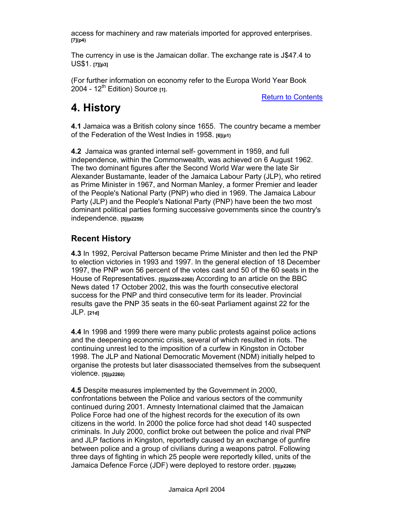access for machinery and raw materials imported for approved enterprises. **[7](p4)**

The currency in use is the Jamaican dollar. The exchange rate is J\$47.4 to US\$1. **[7][p3]**

(For further information on economy refer to the Europa World Year Book 2004 - 12th Edition) Source **[1]**.

Return to Contents

## **4. History**

**4.1** Jamaica was a British colony since 1655. The country became a member of the Federation of the West Indies in 1958. **[6](p1)** 

**4.2** Jamaica was granted internal self- government in 1959, and full independence, within the Commonwealth, was achieved on 6 August 1962. The two dominant figures after the Second World War were the late Sir Alexander Bustamante, leader of the Jamaica Labour Party (JLP), who retired as Prime Minister in 1967, and Norman Manley, a former Premier and leader of the People's National Party (PNP) who died in 1969. The Jamaica Labour Party (JLP) and the People's National Party (PNP) have been the two most dominant political parties forming successive governments since the country's independence. **[5](p2259)** 

## **Recent History**

**4.3** In 1992, Percival Patterson became Prime Minister and then led the PNP to election victories in 1993 and 1997. In the general election of 18 December 1997, the PNP won 56 percent of the votes cast and 50 of the 60 seats in the House of Representatives. **[5](p2259-2260)** According to an article on the BBC News dated 17 October 2002, this was the fourth consecutive electoral success for the PNP and third consecutive term for its leader. Provincial results gave the PNP 35 seats in the 60-seat Parliament against 22 for the JLP. **[21d]**

**4.4** In 1998 and 1999 there were many public protests against police actions and the deepening economic crisis, several of which resulted in riots. The continuing unrest led to the imposition of a curfew in Kingston in October 1998. The JLP and National Democratic Movement (NDM) initially helped to organise the protests but later disassociated themselves from the subsequent violence. **[5](p2260)**

**4.5** Despite measures implemented by the Government in 2000, confrontations between the Police and various sectors of the community continued during 2001. Amnesty International claimed that the Jamaican Police Force had one of the highest records for the execution of its own citizens in the world. In 2000 the police force had shot dead 140 suspected criminals. In July 2000, conflict broke out between the police and rival PNP and JLP factions in Kingston, reportedly caused by an exchange of gunfire between police and a group of civilians during a weapons patrol. Following three days of fighting in which 25 people were reportedly killed, units of the Jamaica Defence Force (JDF) were deployed to restore order. **[5](p2260)**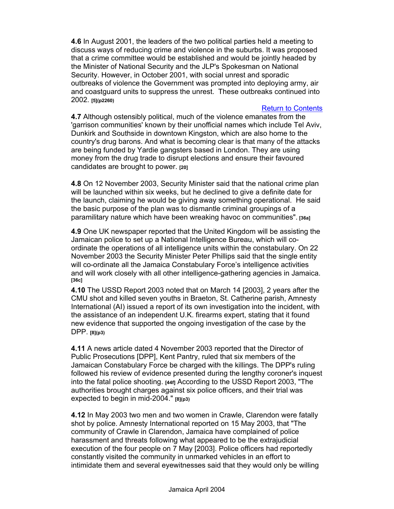**4.6** In August 2001, the leaders of the two political parties held a meeting to discuss ways of reducing crime and violence in the suburbs. It was proposed that a crime committee would be established and would be jointly headed by the Minister of National Security and the JLP's Spokesman on National Security. However, in October 2001, with social unrest and sporadic outbreaks of violence the Government was prompted into deploying army, air and coastguard units to suppress the unrest. These outbreaks continued into 2002. **[5](p2260)**

#### Return to Contents

**4.7** Although ostensibly political, much of the violence emanates from the 'garrison communities' known by their unofficial names which include Tel Aviv, Dunkirk and Southside in downtown Kingston, which are also home to the country's drug barons. And what is becoming clear is that many of the attacks are being funded by Yardie gangsters based in London. They are using money from the drug trade to disrupt elections and ensure their favoured candidates are brought to power. **[20]** 

**4.8** On 12 November 2003, Security Minister said that the national crime plan will be launched within six weeks, but he declined to give a definite date for the launch, claiming he would be giving away something operational. He said the basic purpose of the plan was to dismantle criminal groupings of a paramilitary nature which have been wreaking havoc on communities". **[36a]**

**4.9** One UK newspaper reported that the United Kingdom will be assisting the Jamaican police to set up a National Intelligence Bureau, which will coordinate the operations of all intelligence units within the constabulary. On 22 November 2003 the Security Minister Peter Phillips said that the single entity will co-ordinate all the Jamaica Constabulary Force's intelligence activities and will work closely with all other intelligence-gathering agencies in Jamaica. **[36c]**

**4.10** The USSD Report 2003 noted that on March 14 [2003], 2 years after the CMU shot and killed seven youths in Braeton, St. Catherine parish, Amnesty International (AI) issued a report of its own investigation into the incident, with the assistance of an independent U.K. firearms expert, stating that it found new evidence that supported the ongoing investigation of the case by the DPP. **[8](p3)**

**4.11** A news article dated 4 November 2003 reported that the Director of Public Prosecutions [DPP], Kent Pantry, ruled that six members of the Jamaican Constabulary Force be charged with the killings. The DPP's ruling followed his review of evidence presented during the lengthy coroner's inquest into the fatal police shooting. **[44f]** According to the USSD Report 2003, "The authorities brought charges against six police officers, and their trial was expected to begin in mid-2004." **[8](p3)** 

**4.12** In May 2003 two men and two women in Crawle, Clarendon were fatally shot by police. Amnesty International reported on 15 May 2003, that "The community of Crawle in Clarendon, Jamaica have complained of police harassment and threats following what appeared to be the extrajudicial execution of the four people on 7 May [2003]. Police officers had reportedly constantly visited the community in unmarked vehicles in an effort to intimidate them and several eyewitnesses said that they would only be willing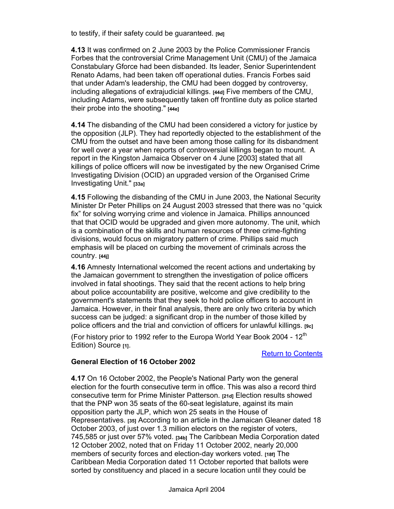to testify, if their safety could be guaranteed. **[9d]**

**4.13** It was confirmed on 2 June 2003 by the Police Commissioner Francis Forbes that the controversial Crime Management Unit (CMU) of the Jamaica Constabulary Gforce had been disbanded. Its leader, Senior Superintendent Renato Adams, had been taken off operational duties. Francis Forbes said that under Adam's leadership, the CMU had been dogged by controversy, including allegations of extrajudicial killings. **[44d]** Five members of the CMU, including Adams, were subsequently taken off frontline duty as police started their probe into the shooting." **[44e]** 

**4.14** The disbanding of the CMU had been considered a victory for justice by the opposition (JLP). They had reportedly objected to the establishment of the CMU from the outset and have been among those calling for its disbandment for well over a year when reports of controversial killings began to mount. A report in the Kingston Jamaica Observer on 4 June [2003] stated that all killings of police officers will now be investigated by the new Organised Crime Investigating Division (OCID) an upgraded version of the Organised Crime Investigating Unit." **[33a]** 

**4.15** Following the disbanding of the CMU in June 2003, the National Security Minister Dr Peter Phillips on 24 August 2003 stressed that there was no "quick fix" for solving worrying crime and violence in Jamaica. Phillips announced that that OCID would be upgraded and given more autonomy. The unit, which is a combination of the skills and human resources of three crime-fighting divisions, would focus on migratory pattern of crime. Phillips said much emphasis will be placed on curbing the movement of criminals across the country. **[44j]**

**4.16** Amnesty International welcomed the recent actions and undertaking by the Jamaican government to strengthen the investigation of police officers involved in fatal shootings. They said that the recent actions to help bring about police accountability are positive, welcome and give credibility to the government's statements that they seek to hold police officers to account in Jamaica. However, in their final analysis, there are only two criteria by which success can be judged: a significant drop in the number of those killed by police officers and the trial and conviction of officers for unlawful killings. **[9c]**

(For history prior to 1992 refer to the Europa World Year Book 2004 - 12<sup>th</sup> Edition) Source [1].

#### Return to Contents

#### **General Election of 16 October 2002**

**4.17** On 16 October 2002, the People's National Party won the general election for the fourth consecutive term in office. This was also a record third consecutive term for Prime Minister Patterson. **[21d]** Election results showed that the PNP won 35 seats of the 60-seat legislature, against its main opposition party the JLP, which won 25 seats in the House of Representatives. **[35]** According to an article in the Jamaican Gleaner dated 18 October 2003, of just over 1.3 million electors on the register of voters, 745,585 or just over 57% voted. **[34b]** The Caribbean Media Corporation dated 12 October 2002, noted that on Friday 11 October 2002, nearly 20,000 members of security forces and election-day workers voted. **[18f]** The Caribbean Media Corporation dated 11 October reported that ballots were sorted by constituency and placed in a secure location until they could be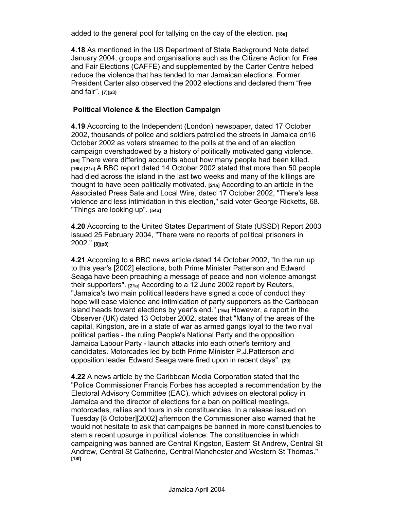added to the general pool for tallying on the day of the election. **[18e]**

**4.18** As mentioned in the US Department of State Background Note dated January 2004, groups and organisations such as the Citizens Action for Free and Fair Elections (CAFFE) and supplemented by the Carter Centre helped reduce the violence that has tended to mar Jamaican elections. Former President Carter also observed the 2002 elections and declared them "free and fair". **[7](p3)**

#### **Political Violence & the Election Campaign**

**4.19** According to the Independent (London) newspaper, dated 17 October 2002, thousands of police and soldiers patrolled the streets in Jamaica on16 October 2002 as voters streamed to the polls at the end of an election campaign overshadowed by a history of politically motivated gang violence. **[56]** There were differing accounts about how many people had been killed. **[16b] [21a]** A BBC report dated 14 October 2002 stated that more than 50 people had died across the island in the last two weeks and many of the killings are thought to have been politically motivated. **[21a]** According to an article in the Associated Press Sate and Local Wire, dated 17 October 2002, "There's less violence and less intimidation in this election," said voter George Ricketts, 68. "Things are looking up". **[54a]**

**4.20** According to the United States Department of State (USSD) Report 2003 issued 25 February 2004, "There were no reports of political prisoners in 2002." **[8](p8)**

**4.21** According to a BBC news article dated 14 October 2002, "In the run up to this year's [2002] elections, both Prime Minister Patterson and Edward Seaga have been preaching a message of peace and non violence amongst their supporters". **[21a]** According to a 12 June 2002 report by Reuters, "Jamaica's two main political leaders have signed a code of conduct they hope will ease violence and intimidation of party supporters as the Caribbean island heads toward elections by year's end." **[16a]** However, a report in the Observer (UK) dated 13 October 2002, states that "Many of the areas of the capital, Kingston, are in a state of war as armed gangs loyal to the two rival political parties - the ruling People's National Party and the opposition Jamaica Labour Party - launch attacks into each other's territory and candidates. Motorcades led by both Prime Minister P.J.Patterson and opposition leader Edward Seaga were fired upon in recent days". **[20]** 

**4.22** A news article by the Caribbean Media Corporation stated that the "Police Commissioner Francis Forbes has accepted a recommendation by the Electoral Advisory Committee (EAC), which advises on electoral policy in Jamaica and the director of elections for a ban on political meetings, motorcades, rallies and tours in six constituencies. In a release issued on Tuesday [8 October][2002] afternoon the Commissioner also warned that he would not hesitate to ask that campaigns be banned in more constituencies to stem a recent upsurge in political violence. The constituencies in which campaigning was banned are Central Kingston, Eastern St Andrew, Central St Andrew, Central St Catherine, Central Manchester and Western St Thomas." **[18f]**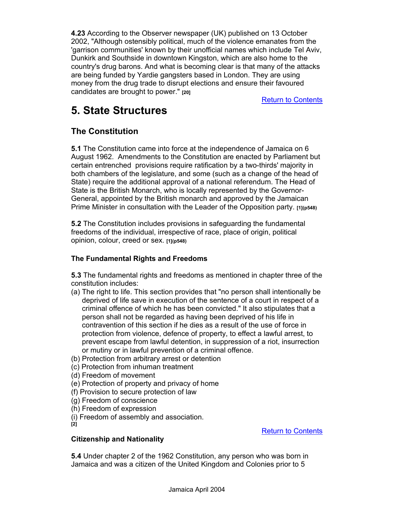**4.23** According to the Observer newspaper (UK) published on 13 October 2002, "Although ostensibly political, much of the violence emanates from the 'garrison communities' known by their unofficial names which include Tel Aviv, Dunkirk and Southside in downtown Kingston, which are also home to the country's drug barons. And what is becoming clear is that many of the attacks are being funded by Yardie gangsters based in London. They are using money from the drug trade to disrupt elections and ensure their favoured candidates are brought to power." **[20]**

Return to Contents

## **5. State Structures**

## **The Constitution**

**5.1** The Constitution came into force at the independence of Jamaica on 6 August 1962. Amendments to the Constitution are enacted by Parliament but certain entrenched provisions require ratification by a two-thirds' majority in both chambers of the legislature, and some (such as a change of the head of State) require the additional approval of a national referendum. The Head of State is the British Monarch, who is locally represented by the Governor-General, appointed by the British monarch and approved by the Jamaican Prime Minister in consultation with the Leader of the Opposition party. **[1](p548)**

**5.2** The Constitution includes provisions in safeguarding the fundamental freedoms of the individual, irrespective of race, place of origin, political opinion, colour, creed or sex. **[1](p548)**

### **The Fundamental Rights and Freedoms**

**5.3** The fundamental rights and freedoms as mentioned in chapter three of the constitution includes:

- (a) The right to life. This section provides that "no person shall intentionally be deprived of life save in execution of the sentence of a court in respect of a criminal offence of which he has been convicted." It also stipulates that a person shall not be regarded as having been deprived of his life in contravention of this section if he dies as a result of the use of force in protection from violence, defence of property, to effect a lawful arrest, to prevent escape from lawful detention, in suppression of a riot, insurrection or mutiny or in lawful prevention of a criminal offence.
- (b) Protection from arbitrary arrest or detention
- (c) Protection from inhuman treatment
- (d) Freedom of movement
- (e) Protection of property and privacy of home
- (f) Provision to secure protection of law
- (g) Freedom of conscience
- (h) Freedom of expression
- (i) Freedom of assembly and association.

**[2]** 

Return to Contents

#### **Citizenship and Nationality**

**5.4** Under chapter 2 of the 1962 Constitution, any person who was born in Jamaica and was a citizen of the United Kingdom and Colonies prior to 5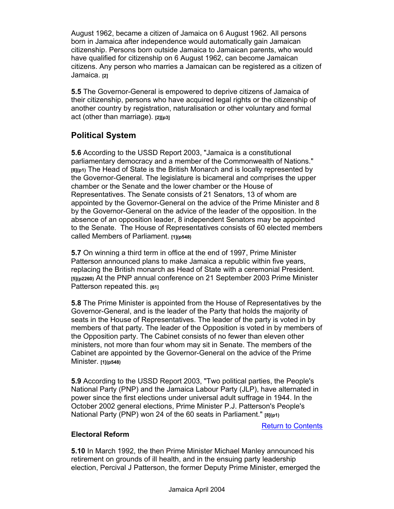August 1962, became a citizen of Jamaica on 6 August 1962. All persons born in Jamaica after independence would automatically gain Jamaican citizenship. Persons born outside Jamaica to Jamaican parents, who would have qualified for citizenship on 6 August 1962, can become Jamaican citizens. Any person who marries a Jamaican can be registered as a citizen of Jamaica. **[2]**

**5.5** The Governor-General is empowered to deprive citizens of Jamaica of their citizenship, persons who have acquired legal rights or the citizenship of another country by registration, naturalisation or other voluntary and formal act (other than marriage). **[2][p3]**

## **Political System**

**5.6** According to the USSD Report 2003, "Jamaica is a constitutional parliamentary democracy and a member of the Commonwealth of Nations." **[8](p1)** The Head of State is the British Monarch and is locally represented by the Governor-General. The legislature is bicameral and comprises the upper chamber or the Senate and the lower chamber or the House of Representatives. The Senate consists of 21 Senators, 13 of whom are appointed by the Governor-General on the advice of the Prime Minister and 8 by the Governor-General on the advice of the leader of the opposition. In the absence of an opposition leader, 8 independent Senators may be appointed to the Senate. The House of Representatives consists of 60 elected members called Members of Parliament. **[1](p548)**

**5.7** On winning a third term in office at the end of 1997, Prime Minister Patterson announced plans to make Jamaica a republic within five years, replacing the British monarch as Head of State with a ceremonial President. **[5](p2260)** At the PNP annual conference on 21 September 2003 Prime Minister Patterson repeated this. **[61]**

**5.8** The Prime Minister is appointed from the House of Representatives by the Governor-General, and is the leader of the Party that holds the majority of seats in the House of Representatives. The leader of the party is voted in by members of that party. The leader of the Opposition is voted in by members of the Opposition party. The Cabinet consists of no fewer than eleven other ministers, not more than four whom may sit in Senate. The members of the Cabinet are appointed by the Governor-General on the advice of the Prime Minister. **[1](p548)**

**5.9** According to the USSD Report 2003, "Two political parties, the People's National Party (PNP) and the Jamaica Labour Party (JLP), have alternated in power since the first elections under universal adult suffrage in 1944. In the October 2002 general elections, Prime Minister P.J. Patterson's People's National Party (PNP) won 24 of the 60 seats in Parliament." **[8](p1)**

Return to Contents

#### **Electoral Reform**

**5.10** In March 1992, the then Prime Minister Michael Manley announced his retirement on grounds of ill health, and in the ensuing party leadership election, Percival J Patterson, the former Deputy Prime Minister, emerged the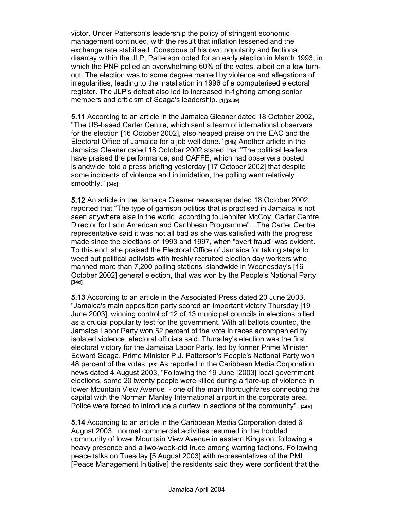victor. Under Patterson's leadership the policy of stringent economic management continued, with the result that inflation lessened and the exchange rate stabilised. Conscious of his own popularity and factional disarray within the JLP, Patterson opted for an early election in March 1993, in which the PNP polled an overwhelming 60% of the votes, albeit on a low turnout. The election was to some degree marred by violence and allegations of irregularities, leading to the installation in 1996 of a computerised electoral register. The JLP's defeat also led to increased in-fighting among senior members and criticism of Seaga's leadership. **[1](p539)**

**5.11** According to an article in the Jamaica Gleaner dated 18 October 2002, "The US-based Carter Centre, which sent a team of international observers for the election [16 October 2002], also heaped praise on the EAC and the Electoral Office of Jamaica for a job well done." **[34b]** Another article in the Jamaica Gleaner dated 18 October 2002 stated that "The political leaders have praised the performance; and CAFFE, which had observers posted islandwide, told a press briefing yesterday [17 October 2002] that despite some incidents of violence and intimidation, the polling went relatively smoothly." **[34c]** 

**5.12** An article in the Jamaica Gleaner newspaper dated 18 October 2002, reported that "The type of garrison politics that is practised in Jamaica is not seen anywhere else in the world, according to Jennifer McCoy, Carter Centre Director for Latin American and Caribbean Programme"…The Carter Centre representative said it was not all bad as she was satisfied with the progress made since the elections of 1993 and 1997, when "overt fraud" was evident. To this end, she praised the Electoral Office of Jamaica for taking steps to weed out political activists with freshly recruited election day workers who manned more than 7,200 polling stations islandwide in Wednesday's [16 October 2002] general election, that was won by the People's National Party. **[34d]** 

**5.13** According to an article in the Associated Press dated 20 June 2003, "Jamaica's main opposition party scored an important victory Thursday [19 June 2003], winning control of 12 of 13 municipal councils in elections billed as a crucial popularity test for the government. With all ballots counted, the Jamaica Labor Party won 52 percent of the vote in races accompanied by isolated violence, electoral officials said. Thursday's election was the first electoral victory for the Jamaica Labor Party, led by former Prime Minister Edward Seaga. Prime Minister P.J. Patterson's People's National Party won 48 percent of the votes. **[58]** As reported in the Caribbean Media Corporation news dated 4 August 2003, "Following the 19 June [2003] local government elections, some 20 twenty people were killed during a flare-up of violence in lower Mountain View Avenue - one of the main thoroughfares connecting the capital with the Norman Manley International airport in the corporate area. Police were forced to introduce a curfew in sections of the community". **[44b]**

**5.14** According to an article in the Caribbean Media Corporation dated 6 August 2003, normal commercial activities resumed in the troubled community of lower Mountain View Avenue in eastern Kingston, following a heavy presence and a two-week-old truce among warring factions. Following peace talks on Tuesday [5 August 2003] with representatives of the PMI [Peace Management Initiative] the residents said they were confident that the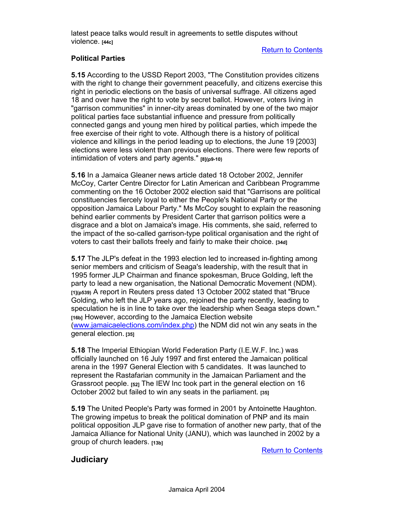latest peace talks would result in agreements to settle disputes without violence. **[44c]**

#### Return to Contents

#### **Political Parties**

**5.15** According to the USSD Report 2003, "The Constitution provides citizens with the right to change their government peacefully, and citizens exercise this right in periodic elections on the basis of universal suffrage. All citizens aged 18 and over have the right to vote by secret ballot. However, voters living in "garrison communities" in inner-city areas dominated by one of the two major political parties face substantial influence and pressure from politically connected gangs and young men hired by political parties, which impede the free exercise of their right to vote. Although there is a history of political violence and killings in the period leading up to elections, the June 19 [2003] elections were less violent than previous elections. There were few reports of intimidation of voters and party agents." **[8](p9-10)**

**5.16** In a Jamaica Gleaner news article dated 18 October 2002, Jennifer McCoy, Carter Centre Director for Latin American and Caribbean Programme commenting on the 16 October 2002 election said that "Garrisons are political constituencies fiercely loyal to either the People's National Party or the opposition Jamaica Labour Party." Ms McCoy sought to explain the reasoning behind earlier comments by President Carter that garrison politics were a disgrace and a blot on Jamaica's image. His comments, she said, referred to the impact of the so-called garrison-type political organisation and the right of voters to cast their ballots freely and fairly to make their choice. **[34d]**

**5.17** The JLP's defeat in the 1993 election led to increased in-fighting among senior members and criticism of Seaga's leadership, with the result that in 1995 former JLP Chairman and finance spokesman, Bruce Golding, left the party to lead a new organisation, the National Democratic Movement (NDM). **[1](p539)** A report in Reuters press dated 13 October 2002 stated that "Bruce Golding, who left the JLP years ago, rejoined the party recently, leading to speculation he is in line to take over the leadership when Seaga steps down." **[16b]** However, according to the Jamaica Election website (www.jamaicaelections.com/index.php) the NDM did not win any seats in the general election. **[35]**

**5.18** The Imperial Ethiopian World Federation Party (I.E.W.F. Inc.) was officially launched on 16 July 1997 and first entered the Jamaican political arena in the 1997 General Election with 5 candidates. It was launched to represent the Rastafarian community in the Jamaican Parliament and the Grassroot people. **[52]** The IEW Inc took part in the general election on 16 October 2002 but failed to win any seats in the parliament. **[35]**

**5.19** The United People's Party was formed in 2001 by Antoinette Haughton. The growing impetus to break the political domination of PNP and its main political opposition JLP gave rise to formation of another new party, that of the Jamaica Alliance for National Unity (JANU), which was launched in 2002 by a group of church leaders. **[13b]**

Return to Contents

### **Judiciary**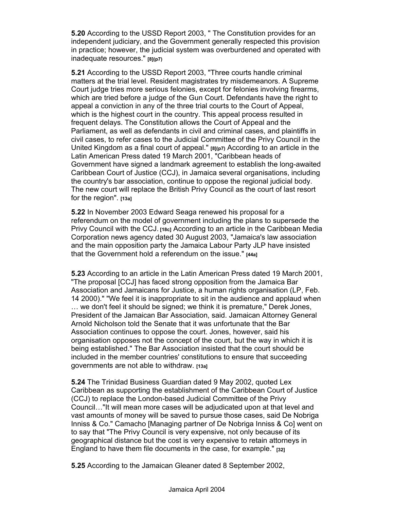**5.20** According to the USSD Report 2003, " The Constitution provides for an independent judiciary, and the Government generally respected this provision in practice; however, the judicial system was overburdened and operated with inadequate resources." **[8](p7)** 

**5.21** According to the USSD Report 2003, "Three courts handle criminal matters at the trial level. Resident magistrates try misdemeanors. A Supreme Court judge tries more serious felonies, except for felonies involving firearms, which are tried before a judge of the Gun Court. Defendants have the right to appeal a conviction in any of the three trial courts to the Court of Appeal, which is the highest court in the country. This appeal process resulted in frequent delays. The Constitution allows the Court of Appeal and the Parliament, as well as defendants in civil and criminal cases, and plaintiffs in civil cases, to refer cases to the Judicial Committee of the Privy Council in the United Kingdom as a final court of appeal." **[8](p7)** According to an article in the Latin American Press dated 19 March 2001, "Caribbean heads of Government have signed a landmark agreement to establish the long-awaited Caribbean Court of Justice (CCJ), in Jamaica several organisations, including the country's bar association, continue to oppose the regional judicial body. The new court will replace the British Privy Council as the court of last resort for the region". **[13a]** 

**5.22** In November 2003 Edward Seaga renewed his proposal for a referendum on the model of government including the plans to supersede the Privy Council with the CCJ. **[18c]** According to an article in the Caribbean Media Corporation news agency dated 30 August 2003, "Jamaica's law association and the main opposition party the Jamaica Labour Party JLP have insisted that the Government hold a referendum on the issue." **[44a]**

**5.23** According to an article in the Latin American Press dated 19 March 2001, "The proposal [CCJ] has faced strong opposition from the Jamaica Bar Association and Jamaicans for Justice, a human rights organisation (LP, Feb. 14 2000)." "We feel it is inappropriate to sit in the audience and applaud when … we don't feel it should be signed; we think it is premature," Derek Jones, President of the Jamaican Bar Association, said. Jamaican Attorney General Arnold Nicholson told the Senate that it was unfortunate that the Bar Association continues to oppose the court. Jones, however, said his organisation opposes not the concept of the court, but the way in which it is being established." The Bar Association insisted that the court should be included in the member countries' constitutions to ensure that succeeding governments are not able to withdraw. **[13a]**

**5.24** The Trinidad Business Guardian dated 9 May 2002, quoted Lex Caribbean as supporting the establishment of the Caribbean Court of Justice (CCJ) to replace the London-based Judicial Committee of the Privy Council…"It will mean more cases will be adjudicated upon at that level and vast amounts of money will be saved to pursue those cases, said De Nobriga Inniss & Co." Camacho [Managing partner of De Nobriga Inniss & Co] went on to say that "The Privy Council is very expensive, not only because of its geographical distance but the cost is very expensive to retain attorneys in England to have them file documents in the case, for example." **[32]**

**5.25** According to the Jamaican Gleaner dated 8 September 2002,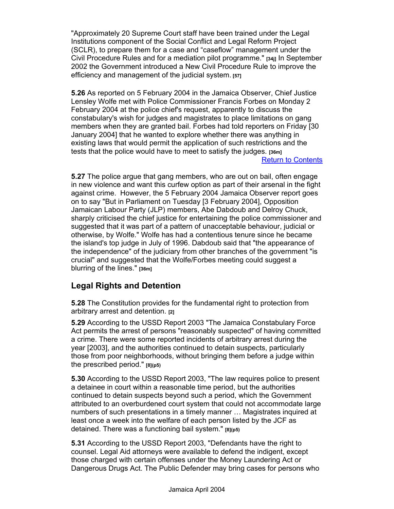"Approximately 20 Supreme Court staff have been trained under the Legal Institutions component of the Social Conflict and Legal Reform Project (SCLR), to prepare them for a case and "caseflow" management under the Civil Procedure Rules and for a mediation pilot programme." **[34j]** In September 2002 the Government introduced a New Civil Procedure Rule to improve the efficiency and management of the judicial system. **[57]**

**5.26** As reported on 5 February 2004 in the Jamaica Observer, Chief Justice Lensley Wolfe met with Police Commissioner Francis Forbes on Monday 2 February 2004 at the police chief's request, apparently to discuss the constabulary's wish for judges and magistrates to place limitations on gang members when they are granted bail. Forbes had told reporters on Friday [30 January 2004] that he wanted to explore whether there was anything in existing laws that would permit the application of such restrictions and the tests that the police would have to meet to satisfy the judges. **[36m]**

#### Return to Contents

**5.27** The police argue that gang members, who are out on bail, often engage in new violence and want this curfew option as part of their arsenal in the fight against crime. However, the 5 February 2004 Jamaica Observer report goes on to say "But in Parliament on Tuesday [3 February 2004], Opposition Jamaican Labour Party (JLP) members, Abe Dabdoub and Delroy Chuck, sharply criticised the chief justice for entertaining the police commissioner and suggested that it was part of a pattern of unacceptable behaviour, judicial or otherwise, by Wolfe." Wolfe has had a contentious tenure since he became the island's top judge in July of 1996. Dabdoub said that "the appearance of the independence" of the judiciary from other branches of the government "is crucial" and suggested that the Wolfe/Forbes meeting could suggest a blurring of the lines." **[36m]**

### **Legal Rights and Detention**

**5.28** The Constitution provides for the fundamental right to protection from arbitrary arrest and detention. **[2]**

**5.29** According to the USSD Report 2003 "The Jamaica Constabulary Force Act permits the arrest of persons "reasonably suspected" of having committed a crime. There were some reported incidents of arbitrary arrest during the year [2003], and the authorities continued to detain suspects, particularly those from poor neighborhoods, without bringing them before a judge within the prescribed period." **[8](p5)**

**5.30** According to the USSD Report 2003, "The law requires police to present a detainee in court within a reasonable time period, but the authorities continued to detain suspects beyond such a period, which the Government attributed to an overburdened court system that could not accommodate large numbers of such presentations in a timely manner … Magistrates inquired at least once a week into the welfare of each person listed by the JCF as detained. There was a functioning bail system." **[8](p5)**

**5.31** According to the USSD Report 2003, "Defendants have the right to counsel. Legal Aid attorneys were available to defend the indigent, except those charged with certain offenses under the Money Laundering Act or Dangerous Drugs Act. The Public Defender may bring cases for persons who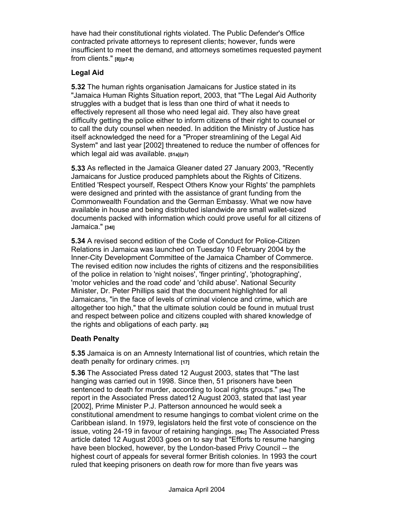have had their constitutional rights violated. The Public Defender's Office contracted private attorneys to represent clients; however, funds were insufficient to meet the demand, and attorneys sometimes requested payment from clients." **[8](p7-8)**

#### **Legal Aid**

**5.32** The human rights organisation Jamaicans for Justice stated in its "Jamaica Human Rights Situation report, 2003, that "The Legal Aid Authority struggles with a budget that is less than one third of what it needs to effectively represent all those who need legal aid. They also have great difficulty getting the police either to inform citizens of their right to counsel or to call the duty counsel when needed. In addition the Ministry of Justice has itself acknowledged the need for a "Proper streamlining of the Legal Aid System" and last year [2002] threatened to reduce the number of offences for which legal aid was available. **[51a](p7)**

**5.33** As reflected in the Jamaica Gleaner dated 27 January 2003, "Recently Jamaicans for Justice produced pamphlets about the Rights of Citizens. Entitled 'Respect yourself, Respect Others Know your Rights' the pamphlets were designed and printed with the assistance of grant funding from the Commonwealth Foundation and the German Embassy. What we now have available in house and being distributed islandwide are small wallet-sized documents packed with information which could prove useful for all citizens of Jamaica." **[34l]**

**5.34** A revised second edition of the Code of Conduct for Police-Citizen Relations in Jamaica was launched on Tuesday 10 February 2004 by the Inner-City Development Committee of the Jamaica Chamber of Commerce. The revised edition now includes the rights of citizens and the responsibilities of the police in relation to 'night noises', 'finger printing', 'photographing', 'motor vehicles and the road code' and 'child abuse'. National Security Minister, Dr. Peter Phillips said that the document highlighted for all Jamaicans, "in the face of levels of criminal violence and crime, which are altogether too high," that the ultimate solution could be found in mutual trust and respect between police and citizens coupled with shared knowledge of the rights and obligations of each party. **[62]** 

#### **Death Penalty**

**5.35** Jamaica is on an Amnesty International list of countries, which retain the death penalty for ordinary crimes. **[17]**

**5.36** The Associated Press dated 12 August 2003, states that "The last hanging was carried out in 1998. Since then, 51 prisoners have been sentenced to death for murder, according to local rights groups." **[54c]** The report in the Associated Press dated12 August 2003, stated that last year [2002], Prime Minister P.J. Patterson announced he would seek a constitutional amendment to resume hangings to combat violent crime on the Caribbean island. In 1979, legislators held the first vote of conscience on the issue, voting 24-19 in favour of retaining hangings. **[54c]** The Associated Press article dated 12 August 2003 goes on to say that "Efforts to resume hanging have been blocked, however, by the London-based Privy Council -- the highest court of appeals for several former British colonies. In 1993 the court ruled that keeping prisoners on death row for more than five years was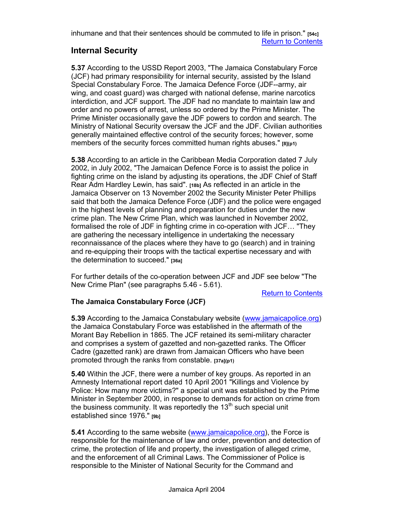inhumane and that their sentences should be commuted to life in prison." **[54c]** Return to Contents

### **Internal Security**

**5.37** According to the USSD Report 2003, "The Jamaica Constabulary Force (JCF) had primary responsibility for internal security, assisted by the Island Special Constabulary Force. The Jamaica Defence Force (JDF--army, air wing, and coast guard) was charged with national defense, marine narcotics interdiction, and JCF support. The JDF had no mandate to maintain law and order and no powers of arrest, unless so ordered by the Prime Minister. The Prime Minister occasionally gave the JDF powers to cordon and search. The Ministry of National Security oversaw the JCF and the JDF. Civilian authorities generally maintained effective control of the security forces; however, some members of the security forces committed human rights abuses." **[8](p1)**

**5.38** According to an article in the Caribbean Media Corporation dated 7 July 2002, in July 2002, "The Jamaican Defence Force is to assist the police in fighting crime on the island by adjusting its operations, the JDF Chief of Staff Rear Adm Hardley Lewin, has said". **[18b]** As reflected in an article in the Jamaica Observer on 13 November 2002 the Security Minister Peter Phillips said that both the Jamaica Defence Force (JDF) and the police were engaged in the highest levels of planning and preparation for duties under the new crime plan. The New Crime Plan, which was launched in November 2002, formalised the role of JDF in fighting crime in co-operation with JCF… "They are gathering the necessary intelligence in undertaking the necessary reconnaissance of the places where they have to go (search) and in training and re-equipping their troops with the tactical expertise necessary and with the determination to succeed." **[36a]**

For further details of the co-operation between JCF and JDF see below "The New Crime Plan" (see paragraphs 5.46 - 5.61).

Return to Contents

#### **The Jamaica Constabulary Force (JCF)**

**5.39** According to the Jamaica Constabulary website (www.jamaicapolice.org) the Jamaica Constabulary Force was established in the aftermath of the Morant Bay Rebellion in 1865. The JCF retained its semi-military character and comprises a system of gazetted and non-gazetted ranks. The Officer Cadre (gazetted rank) are drawn from Jamaican Officers who have been promoted through the ranks from constable. **[37a](p1)** 

**5.40** Within the JCF, there were a number of key groups. As reported in an Amnesty International report dated 10 April 2001 "Killings and Violence by Police: How many more victims?" a special unit was established by the Prime Minister in September 2000, in response to demands for action on crime from the business community. It was reportedly the  $13<sup>th</sup>$  such special unit established since 1976." **[9b]**

**5.41** According to the same website (www.jamaicapolice.org), the Force is responsible for the maintenance of law and order, prevention and detection of crime, the protection of life and property, the investigation of alleged crime, and the enforcement of all Criminal Laws. The Commissioner of Police is responsible to the Minister of National Security for the Command and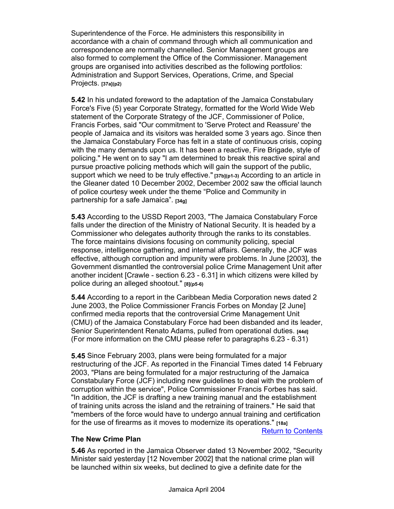Superintendence of the Force. He administers this responsibility in accordance with a chain of command through which all communication and correspondence are normally channelled. Senior Management groups are also formed to complement the Office of the Commissioner. Management groups are organised into activities described as the following portfolios: Administration and Support Services, Operations, Crime, and Special Projects. **[37a](p2)**

**5.42** In his undated foreword to the adaptation of the Jamaica Constabulary Force's Five (5) year Corporate Strategy, formatted for the World Wide Web statement of the Corporate Strategy of the JCF, Commissioner of Police, Francis Forbes, said "Our commitment to 'Serve Protect and Reassure' the people of Jamaica and its visitors was heralded some 3 years ago. Since then the Jamaica Constabulary Force has felt in a state of continuous crisis, coping with the many demands upon us. It has been a reactive, Fire Brigade, style of policing." He went on to say "I am determined to break this reactive spiral and pursue proactive policing methods which will gain the support of the public, support which we need to be truly effective." **[37b](p1-3)** According to an article in the Gleaner dated 10 December 2002, December 2002 saw the official launch of police courtesy week under the theme "Police and Community in partnership for a safe Jamaica". **[34g]** 

**5.43** According to the USSD Report 2003, "The Jamaica Constabulary Force falls under the direction of the Ministry of National Security. It is headed by a Commissioner who delegates authority through the ranks to its constables. The force maintains divisions focusing on community policing, special response, intelligence gathering, and internal affairs. Generally, the JCF was effective, although corruption and impunity were problems. In June [2003], the Government dismantled the controversial police Crime Management Unit after another incident [Crawle - section 6.23 - 6.31] in which citizens were killed by police during an alleged shootout." **[8](p5-6)** 

**5.44** According to a report in the Caribbean Media Corporation news dated 2 June 2003, the Police Commissioner Francis Forbes on Monday [2 June] confirmed media reports that the controversial Crime Management Unit (CMU) of the Jamaica Constabulary Force had been disbanded and its leader, Senior Superintendent Renato Adams, pulled from operational duties. **[44d]**  (For more information on the CMU please refer to paragraphs 6.23 - 6.31)

**5.45** Since February 2003, plans were being formulated for a major restructuring of the JCF. As reported in the Financial Times dated 14 February 2003, "Plans are being formulated for a major restructuring of the Jamaica Constabulary Force (JCF) including new guidelines to deal with the problem of corruption within the service", Police Commissioner Francis Forbes has said. "In addition, the JCF is drafting a new training manual and the establishment of training units across the island and the retraining of trainers." He said that "members of the force would have to undergo annual training and certification for the use of firearms as it moves to modernize its operations." **[18a]**

Return to Contents

#### **The New Crime Plan**

**5.46** As reported in the Jamaica Observer dated 13 November 2002, "Security Minister said yesterday [12 November 2002] that the national crime plan will be launched within six weeks, but declined to give a definite date for the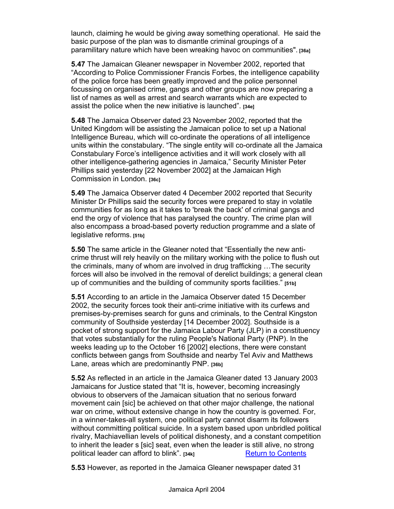launch, claiming he would be giving away something operational. He said the basic purpose of the plan was to dismantle criminal groupings of a paramilitary nature which have been wreaking havoc on communities". **[36a]**

**5.47** The Jamaican Gleaner newspaper in November 2002, reported that "According to Police Commissioner Francis Forbes, the intelligence capability of the police force has been greatly improved and the police personnel focussing on organised crime, gangs and other groups are now preparing a list of names as well as arrest and search warrants which are expected to assist the police when the new initiative is launched". **[34e]**

**5.48** The Jamaica Observer dated 23 November 2002, reported that the United Kingdom will be assisting the Jamaican police to set up a National Intelligence Bureau, which will co-ordinate the operations of all intelligence units within the constabulary. "The single entity will co-ordinate all the Jamaica Constabulary Force's intelligence activities and it will work closely with all other intelligence-gathering agencies in Jamaica," Security Minister Peter Phillips said yesterday [22 November 2002] at the Jamaican High Commission in London. **[36c]**

**5.49** The Jamaica Observer dated 4 December 2002 reported that Security Minister Dr Phillips said the security forces were prepared to stay in volatile communities for as long as it takes to 'break the back' of criminal gangs and end the orgy of violence that has paralysed the country. The crime plan will also encompass a broad-based poverty reduction programme and a slate of legislative reforms. **[51b]** 

**5.50** The same article in the Gleaner noted that "Essentially the new anticrime thrust will rely heavily on the military working with the police to flush out the criminals, many of whom are involved in drug trafficking …The security forces will also be involved in the removal of derelict buildings; a general clean up of communities and the building of community sports facilities." **[51b]** 

**5.51** According to an article in the Jamaica Observer dated 15 December 2002, the security forces took their anti-crime initiative with its curfews and premises-by-premises search for guns and criminals, to the Central Kingston community of Southside yesterday [14 December 2002]. Southside is a pocket of strong support for the Jamaica Labour Party (JLP) in a constituency that votes substantially for the ruling People's National Party (PNP). In the weeks leading up to the October 16 [2002] elections, there were constant conflicts between gangs from Southside and nearby Tel Aviv and Matthews Lane, areas which are predominantly PNP. **[36b]** 

**5.52** As reflected in an article in the Jamaica Gleaner dated 13 January 2003 Jamaicans for Justice stated that "It is, however, becoming increasingly obvious to observers of the Jamaican situation that no serious forward movement cain [sic] be achieved on that other major challenge, the national war on crime, without extensive change in how the country is governed. For, in a winner-takes-all system, one political party cannot disarm its followers without committing political suicide. In a system based upon unbridled political rivalry, Machiavellian levels of political dishonesty, and a constant competition to inherit the leader s [sic] seat, even when the leader is still alive, no strong political leader can afford to blink". [34k] **Return to Contents** 

**5.53** However, as reported in the Jamaica Gleaner newspaper dated 31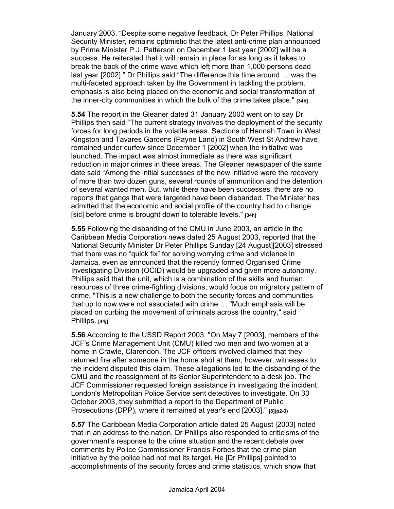January 2003, "Despite some negative feedback, Dr Peter Phillips, National Security Minister, remains optimistic that the latest anti-crime plan announced by Prime Minister P.J. Patterson on December 1 last year [2002] will be a success. He reiterated that it will remain in place for as long as it takes to break the back of the crime wave which left more than 1,000 persons dead last year [2002]." Dr Phillips said "The difference this time around … was the multi-faceted approach taken by the Government in tackling the problem, emphasis is also being placed on the economic and social transformation of the inner-city communities in which the bulk of the crime takes place." **[34h]**

**5.54** The report in the Gleaner dated 31 January 2003 went on to say Dr Phillips then said "The current strategy involves the deployment of the security forces for long periods in the volatile areas. Sections of Hannah Town in West Kingston and Tavares Gardens (Payne Land) in South West St Andrew have remained under curfew since December 1 [2002] when the initiative was launched. The impact was almost immediate as there was significant reduction in major crimes in these areas. The Gleaner newspaper of the same date said "Among the initial successes of the new initiative were the recovery of more than two dozen guns, several rounds of ammunition and the detention of several wanted men. But, while there have been successes, there are no reports that gangs that were targeted have been disbanded. The Minister has admitted that the economic and social profile of the country had to c hange [sic] before crime is brought down to tolerable levels." **[34h]**

**5.55** Following the disbanding of the CMU in June 2003, an article in the Caribbean Media Corporation news dated 25 August 2003, reported that the National Security Minister Dr Peter Phillips Sunday [24 August][2003] stressed that there was no "quick fix" for solving worrying crime and violence in Jamaica, even as announced that the recently formed Organised Crime Investigating Division (OCID) would be upgraded and given more autonomy. Phillips said that the unit, which is a combination of the skills and human resources of three crime-fighting divisions, would focus on migratory pattern of crime. "This is a new challenge to both the security forces and communities that up to now were not associated with crime … "Much emphasis will be placed on curbing the movement of criminals across the country," said Phillips. **[44j]**

**5.56** According to the USSD Report 2003, "On May 7 [2003], members of the JCF's Crime Management Unit (CMU) killed two men and two women at a home in Crawle, Clarendon. The JCF officers involved claimed that they returned fire after someone in the home shot at them; however, witnesses to the incident disputed this claim. These allegations led to the disbanding of the CMU and the reassignment of its Senior Superintendent to a desk job. The JCF Commissioner requested foreign assistance in investigating the incident. London's Metropolitan Police Service sent detectives to investigate. On 30 October 2003, they submitted a report to the Department of Public Prosecutions (DPP), where it remained at year's end [2003]." **[8](p2-3)**

**5.57** The Caribbean Media Corporation article dated 25 August [2003] noted that in an address to the nation, Dr Phillips also responded to criticisms of the government's response to the crime situation and the recent debate over comments by Police Commissioner Francis Forbes that the crime plan initiative by the police had not met its target. He [Dr Phillips] pointed to accomplishments of the security forces and crime statistics, which show that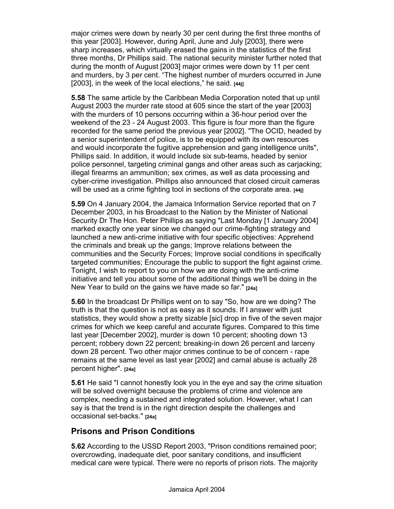major crimes were down by nearly 30 per cent during the first three months of this year [2003]. However, during April, June and July [2003], there were sharp increases, which virtually erased the gains in the statistics of the first three months, Dr Phillips said. The national security minister further noted that during the month of August [2003] major crimes were down by 11 per cent and murders, by 3 per cent. "The highest number of murders occurred in June [2003], in the week of the local elections," he said. **[44j]**

**5.58** The same article by the Caribbean Media Corporation noted that up until August 2003 the murder rate stood at 605 since the start of the year [2003] with the murders of 10 persons occurring within a 36-hour period over the weekend of the 23 - 24 August 2003. This figure is four more than the figure recorded for the same period the previous year [2002]. "The OCID, headed by a senior superintendent of police, is to be equipped with its own resources and would incorporate the fugitive apprehension and gang intelligence units", Phillips said. In addition, it would include six sub-teams, headed by senior police personnel, targeting criminal gangs and other areas such as carjacking; illegal firearms an ammunition; sex crimes, as well as data processing and cyber-crime investigation. Phillips also announced that closed circuit cameras will be used as a crime fighting tool in sections of the corporate area. **[44j]**

**5.59** On 4 January 2004, the Jamaica Information Service reported that on 7 December 2003, in his Broadcast to the Nation by the Minister of National Security Dr The Hon. Peter Phillips as saying "Last Monday [1 January 2004] marked exactly one year since we changed our crime-fighting strategy and launched a new anti-crime initiative with four specific objectives: Apprehend the criminals and break up the gangs; Improve relations between the communities and the Security Forces; Improve social conditions in specifically targeted communities; Encourage the public to support the fight against crime. Tonight, I wish to report to you on how we are doing with the anti-crime initiative and tell you about some of the additional things we'll be doing in the New Year to build on the gains we have made so far." **[24a]**

**5.60** In the broadcast Dr Phillips went on to say "So, how are we doing? The truth is that the question is not as easy as it sounds. If I answer with just statistics, they would show a pretty sizable [sic] drop in five of the seven major crimes for which we keep careful and accurate figures. Compared to this time last year [December 2002], murder is down 10 percent; shooting down 13 percent; robbery down 22 percent; breaking-in down 26 percent and larceny down 28 percent. Two other major crimes continue to be of concern - rape remains at the same level as last year [2002] and carnal abuse is actually 28 percent higher". **[24a]**

**5.61** He said "I cannot honestly look you in the eye and say the crime situation will be solved overnight because the problems of crime and violence are complex, needing a sustained and integrated solution. However, what I can say is that the trend is in the right direction despite the challenges and occasional set-backs." **[24a]** 

### **Prisons and Prison Conditions**

**5.62** According to the USSD Report 2003, "Prison conditions remained poor; overcrowding, inadequate diet, poor sanitary conditions, and insufficient medical care were typical. There were no reports of prison riots. The majority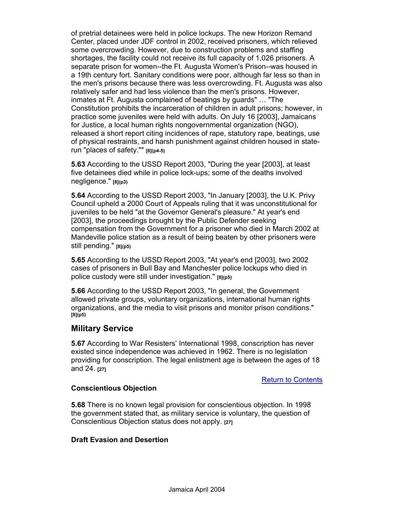of pretrial detainees were held in police lockups. The new Horizon Remand Center, placed under JDF control in 2002, received prisoners, which relieved some overcrowding. However, due to construction problems and staffing shortages, the facility could not receive its full capacity of 1,026 prisoners. A separate prison for women--the Ft. Augusta Women's Prison--was housed in a 19th century fort. Sanitary conditions were poor, although far less so than in the men's prisons because there was less overcrowding. Ft. Augusta was also relatively safer and had less violence than the men's prisons. However, inmates at Ft. Augusta complained of beatings by guards" … "The Constitution prohibits the incarceration of children in adult prisons; however, in practice some juveniles were held with adults. On July 16 [2003], Jamaicans for Justice, a local human rights nongovernmental organization (NGO), released a short report citing incidences of rape, statutory rape, beatings, use of physical restraints, and harsh punishment against children housed in staterun "places of safety."" **[8](p4-5)**

**5.63** According to the USSD Report 2003, "During the year [2003], at least five detainees died while in police lock-ups; some of the deaths involved negligence." **[8](p3)**

**5.64** According to the USSD Report 2003, "In January [2003], the U.K. Privy Council upheld a 2000 Court of Appeals ruling that it was unconstitutional for juveniles to be held "at the Governor General's pleasure." At year's end [2003], the proceedings brought by the Public Defender seeking compensation from the Government for a prisoner who died in March 2002 at Mandeville police station as a result of being beaten by other prisoners were still pending." **[8](p5)**

**5.65** According to the USSD Report 2003, "At year's end [2003], two 2002 cases of prisoners in Bull Bay and Manchester police lockups who died in police custody were still under investigation." **[8](p5)**

**5.66** According to the USSD Report 2003, "In general, the Government allowed private groups, voluntary organizations, international human rights organizations, and the media to visit prisons and monitor prison conditions." **[8](p5)**

#### **Military Service**

**5.67** According to War Resisters' International 1998, conscription has never existed since independence was achieved in 1962. There is no legislation providing for conscription. The legal enlistment age is between the ages of 18 and 24. **[27]**

Return to Contents

#### **Conscientious Objection**

**5.68** There is no known legal provision for conscientious objection. In 1998 the government stated that, as military service is voluntary, the question of Conscientious Objection status does not apply. **[27]**

#### **Draft Evasion and Desertion**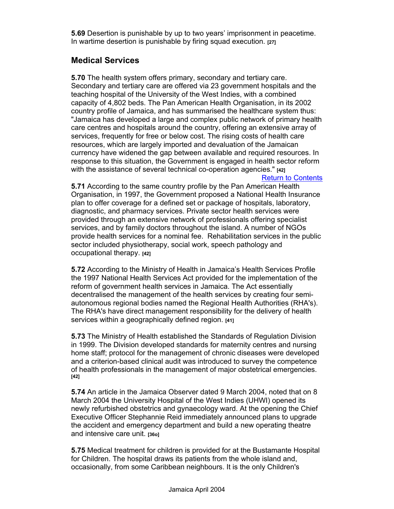**5.69** Desertion is punishable by up to two years' imprisonment in peacetime. In wartime desertion is punishable by firing squad execution. **[27]**

### **Medical Services**

**5.70** The health system offers primary, secondary and tertiary care. Secondary and tertiary care are offered via 23 government hospitals and the teaching hospital of the University of the West Indies, with a combined capacity of 4,802 beds. The Pan American Health Organisation, in its 2002 country profile of Jamaica, and has summarised the healthcare system thus: "Jamaica has developed a large and complex public network of primary health care centres and hospitals around the country, offering an extensive array of services, frequently for free or below cost. The rising costs of health care resources, which are largely imported and devaluation of the Jamaican currency have widened the gap between available and required resources. In response to this situation, the Government is engaged in health sector reform with the assistance of several technical co-operation agencies." **[42]**

#### Return to Contents

**5.71** According to the same country profile by the Pan American Health Organisation, in 1997, the Government proposed a National Health Insurance plan to offer coverage for a defined set or package of hospitals, laboratory, diagnostic, and pharmacy services. Private sector health services were provided through an extensive network of professionals offering specialist services, and by family doctors throughout the island. A number of NGOs provide health services for a nominal fee. Rehabilitation services in the public sector included physiotherapy, social work, speech pathology and occupational therapy. **[42]**

**5.72** According to the Ministry of Health in Jamaica's Health Services Profile the 1997 National Health Services Act provided for the implementation of the reform of government health services in Jamaica. The Act essentially decentralised the management of the health services by creating four semiautonomous regional bodies named the Regional Health Authorities (RHA's). The RHA's have direct management responsibility for the delivery of health services within a geographically defined region. **[41]**

**5.73** The Ministry of Health established the Standards of Regulation Division in 1999. The Division developed standards for maternity centres and nursing home staff; protocol for the management of chronic diseases were developed and a criterion-based clinical audit was introduced to survey the competence of health professionals in the management of major obstetrical emergencies. **[42]**

**5.74** An article in the Jamaica Observer dated 9 March 2004, noted that on 8 March 2004 the University Hospital of the West Indies (UHWI) opened its newly refurbished obstetrics and gynaecology ward. At the opening the Chief Executive Officer Stephannie Reid immediately announced plans to upgrade the accident and emergency department and build a new operating theatre and intensive care unit. **[36o]**

**5.75** Medical treatment for children is provided for at the Bustamante Hospital for Children. The hospital draws its patients from the whole island and, occasionally, from some Caribbean neighbours. It is the only Children's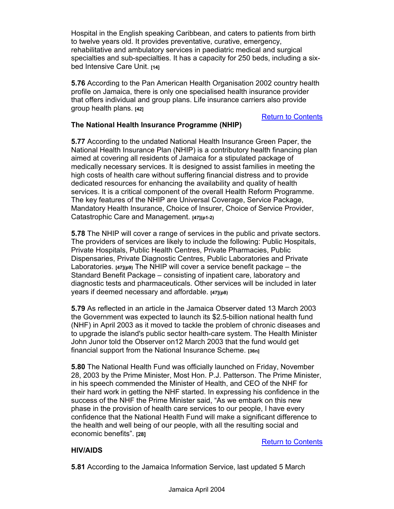Hospital in the English speaking Caribbean, and caters to patients from birth to twelve years old. It provides preventative, curative, emergency, rehabilitative and ambulatory services in paediatric medical and surgical specialties and sub-specialties. It has a capacity for 250 beds, including a sixbed Intensive Care Unit. **[14]**

**5.76** According to the Pan American Health Organisation 2002 country health profile on Jamaica, there is only one specialised health insurance provider that offers individual and group plans. Life insurance carriers also provide group health plans. **[42]**

#### **Return to Contents**

#### **The National Health Insurance Programme (NHIP)**

**5.77** According to the undated National Health Insurance Green Paper, the National Health Insurance Plan (NHIP) is a contributory health financing plan aimed at covering all residents of Jamaica for a stipulated package of medically necessary services. It is designed to assist families in meeting the high costs of health care without suffering financial distress and to provide dedicated resources for enhancing the availability and quality of health services. It is a critical component of the overall Health Reform Programme. The key features of the NHIP are Universal Coverage, Service Package, Mandatory Health Insurance, Choice of Insurer, Choice of Service Provider, Catastrophic Care and Management. **[47](p1-2)**

**5.78** The NHIP will cover a range of services in the public and private sectors. The providers of services are likely to include the following: Public Hospitals, Private Hospitals, Public Health Centres, Private Pharmacies, Public Dispensaries, Private Diagnostic Centres, Public Laboratories and Private Laboratories. **[47](p9)** The NHIP will cover a service benefit package – the Standard Benefit Package – consisting of inpatient care, laboratory and diagnostic tests and pharmaceuticals. Other services will be included in later years if deemed necessary and affordable. **[47](p8)**

**5.79** As reflected in an article in the Jamaica Observer dated 13 March 2003 the Government was expected to launch its \$2.5-billion national health fund (NHF) in April 2003 as it moved to tackle the problem of chronic diseases and to upgrade the island's public sector health-care system. The Health Minister John Junor told the Observer on12 March 2003 that the fund would get financial support from the National Insurance Scheme. **[36n]**

**5.80** The National Health Fund was officially launched on Friday, November 28, 2003 by the Prime Minister, Most Hon. P.J. Patterson. The Prime Minister, in his speech commended the Minister of Health, and CEO of the NHF for their hard work in getting the NHF started. In expressing his confidence in the success of the NHF the Prime Minister said, "As we embark on this new phase in the provision of health care services to our people, I have every confidence that the National Health Fund will make a significant difference to the health and well being of our people, with all the resulting social and economic benefits". **[28]** 

#### Return to Contents

#### **HIV/AIDS**

**5.81** According to the Jamaica Information Service, last updated 5 March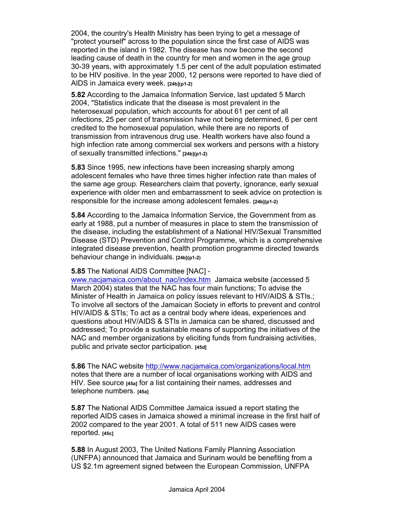2004, the country's Health Ministry has been trying to get a message of "protect yourself" across to the population since the first case of AIDS was reported in the island in 1982. The disease has now become the second leading cause of death in the country for men and women in the age group 30-39 years, with approximately 1.5 per cent of the adult population estimated to be HIV positive. In the year 2000, 12 persons were reported to have died of AIDS in Jamaica every week. **[24b](p1-2)**

**5.82** According to the Jamaica Information Service, last updated 5 March 2004, "Statistics indicate that the disease is most prevalent in the heterosexual population, which accounts for about 61 per cent of all infections, 25 per cent of transmission have not being determined, 6 per cent credited to the homosexual population, while there are no reports of transmission from intravenous drug use. Health workers have also found a high infection rate among commercial sex workers and persons with a history of sexually transmitted infections." **[24b](p1-2)**

**5.83** Since 1995, new infections have been increasing sharply among adolescent females who have three times higher infection rate than males of the same age group. Researchers claim that poverty, ignorance, early sexual experience with older men and embarrassment to seek advice on protection is responsible for the increase among adolescent females. **[24b](p1-2)**

**5.84** According to the Jamaica Information Service, the Government from as early at 1988, put a number of measures in place to stem the transmission of the disease, including the establishment of a National HIV/Sexual Transmitted Disease (STD) Prevention and Control Programme, which is a comprehensive integrated disease prevention, health promotion programme directed towards behaviour change in individuals. **[24b](p1-2)**

#### **5.85** The National AIDS Committee [NAC] -

www.nacjamaica.com/about\_nac/index.htm Jamaica website (accessed 5 March 2004) states that the NAC has four main functions; To advise the Minister of Health in Jamaica on policy issues relevant to HIV/AIDS & STIs.; To involve all sectors of the Jamaican Society in efforts to prevent and control HIV/AIDS & STIs; To act as a central body where ideas, experiences and questions about HIV/AIDS & STIs in Jamaica can be shared, discussed and addressed; To provide a sustainable means of supporting the initiatives of the NAC and member organizations by eliciting funds from fundraising activities, public and private sector participation. **[45d]**

**5.86** The NAC website http://www.nacjamaica.com/organizations/local.htm notes that there are a number of local organisations working with AIDS and HIV. See source **[45a]** for a list containing their names, addresses and telephone numbers. **[45a]**

**5.87** The National AIDS Committee Jamaica issued a report stating the reported AIDS cases in Jamaica showed a minimal increase in the first half of 2002 compared to the year 2001. A total of 511 new AIDS cases were reported. **[45c]**

**5.88** In August 2003, The United Nations Family Planning Association (UNFPA) announced that Jamaica and Surinam would be benefiting from a US \$2.1m agreement signed between the European Commission, UNFPA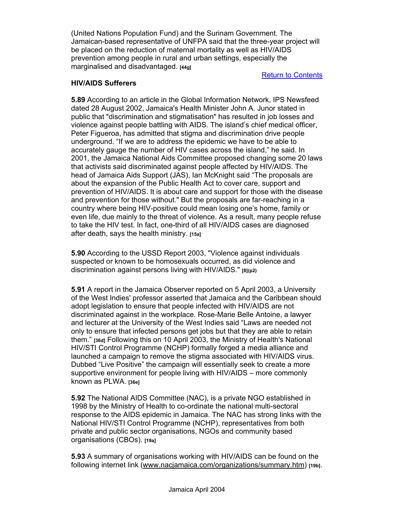(United Nations Population Fund) and the Surinam Government. The Jamaican-based representative of UNFPA said that the three-year project will be placed on the reduction of maternal mortality as well as HIV/AIDS prevention among people in rural and urban settings, especially the marginalised and disadvantaged. **[44g]**

#### Return to Contents

#### **HIV/AIDS Sufferers**

**5.89** According to an article in the Global Information Network, IPS Newsfeed dated 28 August 2002, Jamaica's Health Minister John A. Junor stated in public that "discrimination and stigmatisation" has resulted in job losses and violence against people battling with AIDS. The island's chief medical officer, Peter Figueroa, has admitted that stigma and discrimination drive people underground. "If we are to address the epidemic we have to be able to accurately gauge the number of HIV cases across the island," he said. In 2001, the Jamaica National Aids Committee proposed changing some 20 laws that activists said discriminated against people affected by HIV/AIDS. The head of Jamaica Aids Support (JAS), Ian McKnight said "The proposals are about the expansion of the Public Health Act to cover care, support and prevention of HIV/AIDS. It is about care and support for those with the disease and prevention for those without." But the proposals are far-reaching in a country where being HIV-positive could mean losing one's home, family or even life, due mainly to the threat of violence. As a result, many people refuse to take the HIV test. In fact, one-third of all HIV/AIDS cases are diagnosed after death, says the health ministry. **[15a]**

**5.90** According to the USSD Report 2003, "Violence against individuals suspected or known to be homosexuals occurred, as did violence and discrimination against persons living with HIV/AIDS." **[8](p2)**

**5.91** A report in the Jamaica Observer reported on 5 April 2003, a University of the West Indies' professor asserted that Jamaica and the Caribbean should adopt legislation to ensure that people infected with HIV/AIDS are not discriminated against in the workplace. Rose-Marie Belle Antoine, a lawyer and lecturer at the University of the West Indies said "Laws are needed not only to ensure that infected persons get jobs but that they are able to retain them." **[36d]** Following this on 10 April 2003, the Ministry of Health's National HIV/STI Control Programme (NCHP) formally forged a media alliance and launched a campaign to remove the stigma associated with HIV/AIDS virus. Dubbed "Live Positive" the campaign will essentially seek to create a more supportive environment for people living with HIV/AIDS – more commonly known as PLWA. **[36e]**

**5.92** The National AIDS Committee (NAC), is a private NGO established in 1998 by the Ministry of Health to co-ordinate the national multi-sectoral response to the AIDS epidemic in Jamaica. The NAC has strong links with the National HIV/STI Control Programme (NCHP), representatives from both private and public sector organisations, NGOs and community based organisations (CBOs). **[19a]**

**5.93** A summary of organisations working with HIV/AIDS can be found on the following internet link (www.nacjamaica.com/organizations/summary.htm) **[19b]**.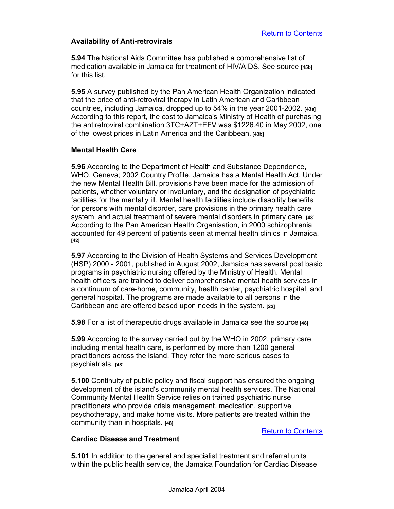#### **Availability of Anti-retrovirals**

**5.94** The National Aids Committee has published a comprehensive list of medication available in Jamaica for treatment of HIV/AIDS. See source **[45b]** for this list.

**5.95** A survey published by the Pan American Health Organization indicated that the price of anti-retroviral therapy in Latin American and Caribbean countries, including Jamaica, dropped up to 54% in the year 2001-2002. **[43a]** According to this report, the cost to Jamaica's Ministry of Health of purchasing the antiretroviral combination 3TC+AZT+EFV was \$1226.40 in May 2002, one of the lowest prices in Latin America and the Caribbean. **[43b]**

#### **Mental Health Care**

**5.96** According to the Department of Health and Substance Dependence, WHO, Geneva; 2002 Country Profile, Jamaica has a Mental Health Act. Under the new Mental Health Bill, provisions have been made for the admission of patients, whether voluntary or involuntary, and the designation of psychiatric facilities for the mentally ill. Mental health facilities include disability benefits for persons with mental disorder, care provisions in the primary health care system, and actual treatment of severe mental disorders in primary care. **[48]** According to the Pan American Health Organisation, in 2000 schizophrenia accounted for 49 percent of patients seen at mental health clinics in Jamaica. **[42]**

**5.97** According to the Division of Health Systems and Services Development (HSP) 2000 - 2001, published in August 2002, Jamaica has several post basic programs in psychiatric nursing offered by the Ministry of Health. Mental health officers are trained to deliver comprehensive mental health services in a continuum of care-home, community, health center, psychiatric hospital, and general hospital. The programs are made available to all persons in the Caribbean and are offered based upon needs in the system. **[22]**

**5.98** For a list of therapeutic drugs available in Jamaica see the source **[48]**

**5.99** According to the survey carried out by the WHO in 2002, primary care, including mental health care, is performed by more than 1200 general practitioners across the island. They refer the more serious cases to psychiatrists. **[48]**

**5.100** Continuity of public policy and fiscal support has ensured the ongoing development of the island's community mental health services. The National Community Mental Health Service relies on trained psychiatric nurse practitioners who provide crisis management, medication, supportive psychotherapy, and make home visits. More patients are treated within the community than in hospitals. **[48]**

Return to Contents

#### **Cardiac Disease and Treatment**

**5.101** In addition to the general and specialist treatment and referral units within the public health service, the Jamaica Foundation for Cardiac Disease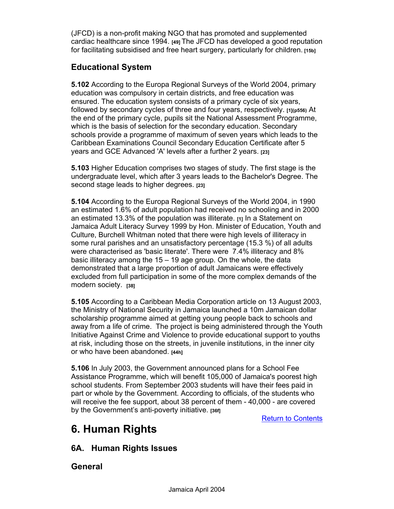(JFCD) is a non-profit making NGO that has promoted and supplemented cardiac healthcare since 1994. **[49]** The JFCD has developed a good reputation for facilitating subsidised and free heart surgery, particularly for children. **[15b]**

## **Educational System**

**5.102** According to the Europa Regional Surveys of the World 2004, primary education was compulsory in certain districts, and free education was ensured. The education system consists of a primary cycle of six years, followed by secondary cycles of three and four years, respectively. **[1](p556)** At the end of the primary cycle, pupils sit the National Assessment Programme, which is the basis of selection for the secondary education. Secondary schools provide a programme of maximum of seven years which leads to the Caribbean Examinations Council Secondary Education Certificate after 5 years and GCE Advanced 'A' levels after a further 2 years. **[23]**

**5.103** Higher Education comprises two stages of study. The first stage is the undergraduate level, which after 3 years leads to the Bachelor's Degree. The second stage leads to higher degrees. **[23]**

**5.104** According to the Europa Regional Surveys of the World 2004, in 1990 an estimated 1.6% of adult population had received no schooling and in 2000 an estimated 13.3% of the population was illiterate. **[1]** In a Statement on Jamaica Adult Literacy Survey 1999 by Hon. Minister of Education, Youth and Culture, Burchell Whitman noted that there were high levels of illiteracy in some rural parishes and an unsatisfactory percentage (15.3 %) of all adults were characterised as 'basic literate'. There were 7.4% illiteracy and 8% basic illiteracy among the 15 – 19 age group. On the whole, the data demonstrated that a large proportion of adult Jamaicans were effectively excluded from full participation in some of the more complex demands of the modern society. **[38]**

**5.105** According to a Caribbean Media Corporation article on 13 August 2003, the Ministry of National Security in Jamaica launched a 10m Jamaican dollar scholarship programme aimed at getting young people back to schools and away from a life of crime. The project is being administered through the Youth Initiative Against Crime and Violence to provide educational support to youths at risk, including those on the streets, in juvenile institutions, in the inner city or who have been abandoned. **[44h]**

**5.106** In July 2003, the Government announced plans for a School Fee Assistance Programme, which will benefit 105,000 of Jamaica's poorest high school students. From September 2003 students will have their fees paid in part or whole by the Government. According to officials, of the students who will receive the fee support, about 38 percent of them - 40,000 - are covered by the Government's anti-poverty initiative. **[36f]**

Return to Contents

## **6. Human Rights**

## **6A. Human Rights Issues**

### **General**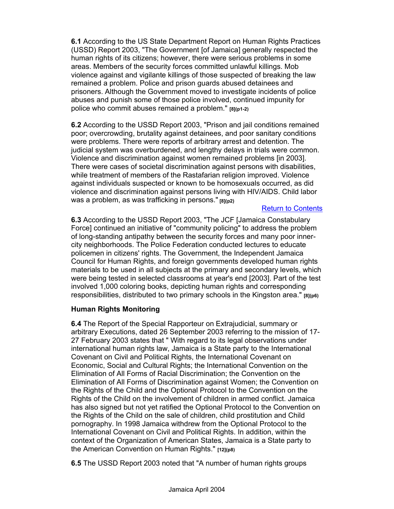**6.1** According to the US State Department Report on Human Rights Practices (USSD) Report 2003, "The Government [of Jamaica] generally respected the human rights of its citizens; however, there were serious problems in some areas. Members of the security forces committed unlawful killings. Mob violence against and vigilante killings of those suspected of breaking the law remained a problem. Police and prison guards abused detainees and prisoners. Although the Government moved to investigate incidents of police abuses and punish some of those police involved, continued impunity for police who commit abuses remained a problem." **[8](p1-2)**

**6.2** According to the USSD Report 2003, "Prison and jail conditions remained poor; overcrowding, brutality against detainees, and poor sanitary conditions were problems. There were reports of arbitrary arrest and detention. The judicial system was overburdened, and lengthy delays in trials were common. Violence and discrimination against women remained problems [in 2003]. There were cases of societal discrimination against persons with disabilities, while treatment of members of the Rastafarian religion improved. Violence against individuals suspected or known to be homosexuals occurred, as did violence and discrimination against persons living with HIV/AIDS. Child labor was a problem, as was trafficking in persons." **[8](p2)**

#### Return to Contents

**6.3** According to the USSD Report 2003, "The JCF [Jamaica Constabulary Force] continued an initiative of "community policing" to address the problem of long-standing antipathy between the security forces and many poor innercity neighborhoods. The Police Federation conducted lectures to educate policemen in citizens' rights. The Government, the Independent Jamaica Council for Human Rights, and foreign governments developed human rights materials to be used in all subjects at the primary and secondary levels, which were being tested in selected classrooms at year's end [2003]. Part of the test involved 1,000 coloring books, depicting human rights and corresponding responsibilities, distributed to two primary schools in the Kingston area." **[8](p6)** 

#### **Human Rights Monitoring**

**6.4** The Report of the Special Rapporteur on Extrajudicial, summary or arbitrary Executions, dated 26 September 2003 referring to the mission of 17- 27 February 2003 states that " With regard to its legal observations under international human rights law, Jamaica is a State party to the International Covenant on Civil and Political Rights, the International Covenant on Economic, Social and Cultural Rights; the International Convention on the Elimination of All Forms of Racial Discrimination; the Convention on the Elimination of All Forms of Discrimination against Women; the Convention on the Rights of the Child and the Optional Protocol to the Convention on the Rights of the Child on the involvement of children in armed conflict. Jamaica has also signed but not yet ratified the Optional Protocol to the Convention on the Rights of the Child on the sale of children, child prostitution and Child pornography. In 1998 Jamaica withdrew from the Optional Protocol to the International Covenant on Civil and Political Rights. In addition, within the context of the Organization of American States, Jamaica is a State party to the American Convention on Human Rights." **[12](p8)**

**6.5** The USSD Report 2003 noted that "A number of human rights groups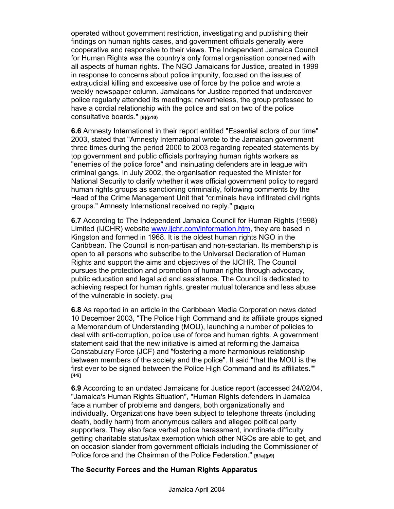operated without government restriction, investigating and publishing their findings on human rights cases, and government officials generally were cooperative and responsive to their views. The Independent Jamaica Council for Human Rights was the country's only formal organisation concerned with all aspects of human rights. The NGO Jamaicans for Justice, created in 1999 in response to concerns about police impunity, focused on the issues of extrajudicial killing and excessive use of force by the police and wrote a weekly newspaper column. Jamaicans for Justice reported that undercover police regularly attended its meetings; nevertheless, the group professed to have a cordial relationship with the police and sat on two of the police consultative boards." **[8](p10)**

**6.6** Amnesty International in their report entitled "Essential actors of our time" 2003, stated that "Amnesty International wrote to the Jamaican government three times during the period 2000 to 2003 regarding repeated statements by top government and public officials portraying human rights workers as "enemies of the police force" and insinuating defenders are in league with criminal gangs. In July 2002, the organisation requested the Minister for National Security to clarify whether it was official government policy to regard human rights groups as sanctioning criminality, following comments by the Head of the Crime Management Unit that "criminals have infiltrated civil rights groups." Amnesty International received no reply." **[9a](p10)**

**6.7** According to The Independent Jamaica Council for Human Rights (1998) Limited (IJCHR) website www.ijchr.com/information.htm, they are based in Kingston and formed in 1968. It is the oldest human rights NGO in the Caribbean. The Council is non-partisan and non-sectarian. Its membership is open to all persons who subscribe to the Universal Declaration of Human Rights and support the aims and objectives of the IJCHR. The Council pursues the protection and promotion of human rights through advocacy, public education and legal aid and assistance. The Council is dedicated to achieving respect for human rights, greater mutual tolerance and less abuse of the vulnerable in society. **[31a]**

**6.8** As reported in an article in the Caribbean Media Corporation news dated 10 December 2003, "The Police High Command and its affiliate groups signed a Memorandum of Understanding (MOU), launching a number of policies to deal with anti-corruption, police use of force and human rights. A government statement said that the new initiative is aimed at reforming the Jamaica Constabulary Force (JCF) and "fostering a more harmonious relationship between members of the society and the police". It said "that the MOU is the first ever to be signed between the Police High Command and its affiliates."" **[44i]**

**6.9** According to an undated Jamaicans for Justice report (accessed 24/02/04, "Jamaica's Human Rights Situation", "Human Rights defenders in Jamaica face a number of problems and dangers, both organizationally and individually. Organizations have been subject to telephone threats (including death, bodily harm) from anonymous callers and alleged political party supporters. They also face verbal police harassment, inordinate difficulty getting charitable status/tax exemption which other NGOs are able to get, and on occasion slander from government officials including the Commissioner of Police force and the Chairman of the Police Federation." **[51a](p9)**

#### **The Security Forces and the Human Rights Apparatus**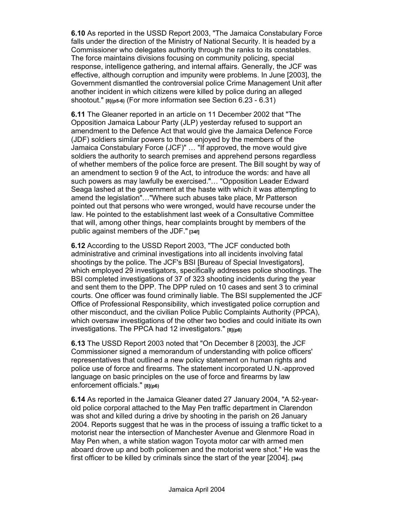**6.10** As reported in the USSD Report 2003, "The Jamaica Constabulary Force falls under the direction of the Ministry of National Security. It is headed by a Commissioner who delegates authority through the ranks to its constables. The force maintains divisions focusing on community policing, special response, intelligence gathering, and internal affairs. Generally, the JCF was effective, although corruption and impunity were problems. In June [2003], the Government dismantled the controversial police Crime Management Unit after another incident in which citizens were killed by police during an alleged shootout." **[8](p5-6)** (For more information see Section 6.23 - 6.31)

**6.11** The Gleaner reported in an article on 11 December 2002 that "The Opposition Jamaica Labour Party (JLP) yesterday refused to support an amendment to the Defence Act that would give the Jamaica Defence Force (JDF) soldiers similar powers to those enjoyed by the members of the Jamaica Constabulary Force (JCF)" … "If approved, the move would give soldiers the authority to search premises and apprehend persons regardless of whether members of the police force are present. The Bill sought by way of an amendment to section 9 of the Act, to introduce the words: and have all such powers as may lawfully be exercised."… "Opposition Leader Edward Seaga lashed at the government at the haste with which it was attempting to amend the legislation"…"Where such abuses take place, Mr Patterson pointed out that persons who were wronged, would have recourse under the law. He pointed to the establishment last week of a Consultative Committee that will, among other things, hear complaints brought by members of the public against members of the JDF." **[34f]**

**6.12** According to the USSD Report 2003, "The JCF conducted both administrative and criminal investigations into all incidents involving fatal shootings by the police. The JCF's BSI [Bureau of Special Investigators], which employed 29 investigators, specifically addresses police shootings. The BSI completed investigations of 37 of 323 shooting incidents during the year and sent them to the DPP. The DPP ruled on 10 cases and sent 3 to criminal courts. One officer was found criminally liable. The BSI supplemented the JCF Office of Professional Responsibility, which investigated police corruption and other misconduct, and the civilian Police Public Complaints Authority (PPCA), which oversaw investigations of the other two bodies and could initiate its own investigations. The PPCA had 12 investigators." **[8](p6)**

**6.13** The USSD Report 2003 noted that "On December 8 [2003], the JCF Commissioner signed a memorandum of understanding with police officers' representatives that outlined a new policy statement on human rights and police use of force and firearms. The statement incorporated U.N.-approved language on basic principles on the use of force and firearms by law enforcement officials." **[8](p6)** 

**6.14** As reported in the Jamaica Gleaner dated 27 January 2004, "A 52-yearold police corporal attached to the May Pen traffic department in Clarendon was shot and killed during a drive by shooting in the parish on 26 January 2004. Reports suggest that he was in the process of issuing a traffic ticket to a motorist near the intersection of Manchester Avenue and Glenmore Road in May Pen when, a white station wagon Toyota motor car with armed men aboard drove up and both policemen and the motorist were shot." He was the first officer to be killed by criminals since the start of the year [2004]. **[34v]**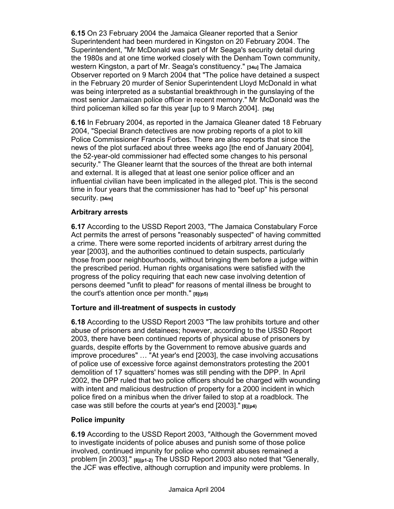**6.15** On 23 February 2004 the Jamaica Gleaner reported that a Senior Superintendent had been murdered in Kingston on 20 February 2004. The Superintendent, "Mr McDonald was part of Mr Seaga's security detail during the 1980s and at one time worked closely with the Denham Town community, western Kingston, a part of Mr. Seaga's constituency." **[34u]** The Jamaica Observer reported on 9 March 2004 that "The police have detained a suspect in the February 20 murder of Senior Superintendent Lloyd McDonald in what was being interpreted as a substantial breakthrough in the gunslaying of the most senior Jamaican police officer in recent memory." Mr McDonald was the third policeman killed so far this year [up to 9 March 2004]. **[36p]** 

**6.16** In February 2004, as reported in the Jamaica Gleaner dated 18 February 2004, "Special Branch detectives are now probing reports of a plot to kill Police Commissioner Francis Forbes. There are also reports that since the news of the plot surfaced about three weeks ago [the end of January 2004], the 52-year-old commissioner had effected some changes to his personal security." The Gleaner learnt that the sources of the threat are both internal and external. It is alleged that at least one senior police officer and an influential civilian have been implicated in the alleged plot. This is the second time in four years that the commissioner has had to "beef up" his personal security. **[34m]**

#### **Arbitrary arrests**

**6.17** According to the USSD Report 2003, "The Jamaica Constabulary Force Act permits the arrest of persons "reasonably suspected" of having committed a crime. There were some reported incidents of arbitrary arrest during the year [2003], and the authorities continued to detain suspects, particularly those from poor neighbourhoods, without bringing them before a judge within the prescribed period. Human rights organisations were satisfied with the progress of the policy requiring that each new case involving detention of persons deemed "unfit to plead" for reasons of mental illness be brought to the court's attention once per month." **[8](p5)** 

#### **Torture and ill-treatment of suspects in custody**

**6.18** According to the USSD Report 2003 "The law prohibits torture and other abuse of prisoners and detainees; however, according to the USSD Report 2003, there have been continued reports of physical abuse of prisoners by guards, despite efforts by the Government to remove abusive guards and improve procedures" … "At year's end [2003], the case involving accusations of police use of excessive force against demonstrators protesting the 2001 demolition of 17 squatters' homes was still pending with the DPP. In April 2002, the DPP ruled that two police officers should be charged with wounding with intent and malicious destruction of property for a 2000 incident in which police fired on a minibus when the driver failed to stop at a roadblock. The case was still before the courts at year's end [2003]." **[8](p4)**

#### **Police impunity**

**6.19** According to the USSD Report 2003, "Although the Government moved to investigate incidents of police abuses and punish some of those police involved, continued impunity for police who commit abuses remained a problem [in 2003]." **[8](p1-2)** The USSD Report 2003 also noted that "Generally, the JCF was effective, although corruption and impunity were problems. In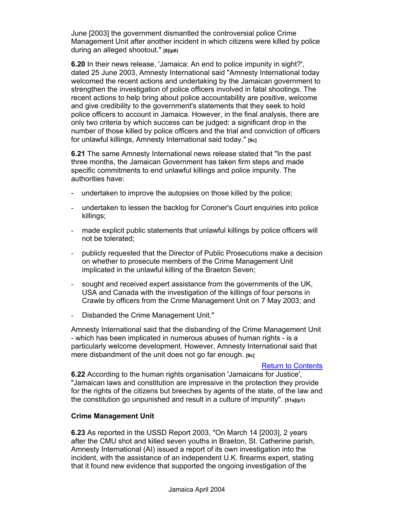June [2003] the government dismantled the controversial police Crime Management Unit after another incident in which citizens were killed by police during an alleged shootout." **[8](p6)**

**6.20** In their news release, 'Jamaica: An end to police impunity in sight?', dated 25 June 2003, Amnesty International said "Amnesty International today welcomed the recent actions and undertaking by the Jamaican government to strengthen the investigation of police officers involved in fatal shootings. The recent actions to help bring about police accountability are positive, welcome and give credibility to the government's statements that they seek to hold police officers to account in Jamaica. However, in the final analysis, there are only two criteria by which success can be judged: a significant drop in the number of those killed by police officers and the trial and conviction of officers for unlawful killings, Amnesty International said today." **[9c]**

**6.21** The same Amnesty International news release stated that "In the past three months, the Jamaican Government has taken firm steps and made specific commitments to end unlawful killings and police impunity. The authorities have:

- undertaken to improve the autopsies on those killed by the police;
- undertaken to lessen the backlog for Coroner's Court enquiries into police killings;
- made explicit public statements that unlawful killings by police officers will not be tolerated;
- publicly requested that the Director of Public Prosecutions make a decision on whether to prosecute members of the Crime Management Unit implicated in the unlawful killing of the Braeton Seven;
- sought and received expert assistance from the governments of the UK, USA and Canada with the investigation of the killings of four persons in Crawle by officers from the Crime Management Unit on 7 May 2003; and
- Disbanded the Crime Management Unit."

Amnesty International said that the disbanding of the Crime Management Unit - which has been implicated in numerous abuses of human rights - is a particularly welcome development. However, Amnesty International said that mere disbandment of the unit does not go far enough. **[9c]**

#### Return to Contents

**6.22** According to the human rights organisation 'Jamaicans for Justice', "Jamaican laws and constitution are impressive in the protection they provide for the rights of the citizens but breeches by agents of the state, of the law and the constitution go unpunished and result in a culture of impunity". **[51a](p1)**

#### **Crime Management Unit**

**6.23** As reported in the USSD Report 2003, "On March 14 [2003], 2 years after the CMU shot and killed seven youths in Braeton, St. Catherine parish, Amnesty International (AI) issued a report of its own investigation into the incident, with the assistance of an independent U.K. firearms expert, stating that it found new evidence that supported the ongoing investigation of the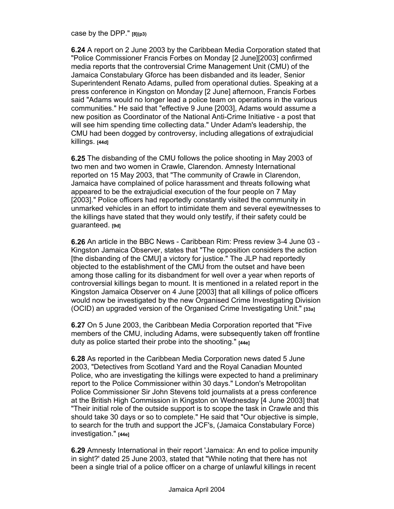case by the DPP." **[8](p3)**

**6.24** A report on 2 June 2003 by the Caribbean Media Corporation stated that "Police Commissioner Francis Forbes on Monday [2 June][2003] confirmed media reports that the controversial Crime Management Unit (CMU) of the Jamaica Constabulary Gforce has been disbanded and its leader, Senior Superintendent Renato Adams, pulled from operational duties. Speaking at a press conference in Kingston on Monday [2 June] afternoon, Francis Forbes said "Adams would no longer lead a police team on operations in the various communities." He said that "effective 9 June [2003], Adams would assume a new position as Coordinator of the National Anti-Crime Initiative - a post that will see him spending time collecting data." Under Adam's leadership, the CMU had been dogged by controversy, including allegations of extrajudicial killings. **[44d]**

**6.25** The disbanding of the CMU follows the police shooting in May 2003 of two men and two women in Crawle, Clarendon. Amnesty International reported on 15 May 2003, that "The community of Crawle in Clarendon, Jamaica have complained of police harassment and threats following what appeared to be the extrajudicial execution of the four people on 7 May [2003]." Police officers had reportedly constantly visited the community in unmarked vehicles in an effort to intimidate them and several eyewitnesses to the killings have stated that they would only testify, if their safety could be guaranteed. **[9d]**

**6.26** An article in the BBC News - Caribbean Rim: Press review 3-4 June 03 - Kingston Jamaica Observer, states that "The opposition considers the action [the disbanding of the CMU] a victory for justice." The JLP had reportedly objected to the establishment of the CMU from the outset and have been among those calling for its disbandment for well over a year when reports of controversial killings began to mount. It is mentioned in a related report in the Kingston Jamaica Observer on 4 June [2003] that all killings of police officers would now be investigated by the new Organised Crime Investigating Division (OCID) an upgraded version of the Organised Crime Investigating Unit." **[33a]**

**6.27** On 5 June 2003, the Caribbean Media Corporation reported that "Five members of the CMU, including Adams, were subsequently taken off frontline duty as police started their probe into the shooting." **[44e]** 

**6.28** As reported in the Caribbean Media Corporation news dated 5 June 2003, "Detectives from Scotland Yard and the Royal Canadian Mounted Police, who are investigating the killings were expected to hand a preliminary report to the Police Commissioner within 30 days." London's Metropolitan Police Commissioner Sir John Stevens told journalists at a press conference at the British High Commission in Kingston on Wednesday [4 June 2003] that "Their initial role of the outside support is to scope the task in Crawle and this should take 30 days or so to complete." He said that "Our objective is simple, to search for the truth and support the JCF's, (Jamaica Constabulary Force) investigation." **[44e]**

**6.29** Amnesty International in their report 'Jamaica: An end to police impunity in sight?' dated 25 June 2003, stated that "While noting that there has not been a single trial of a police officer on a charge of unlawful killings in recent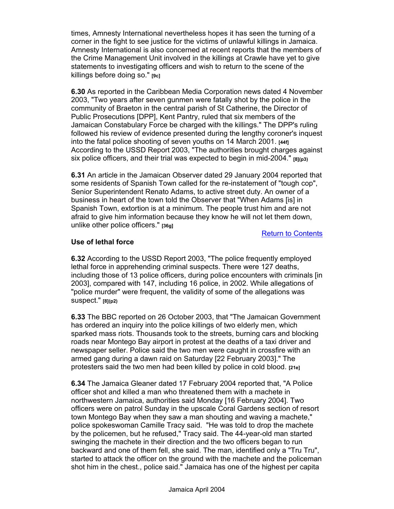times, Amnesty International nevertheless hopes it has seen the turning of a corner in the fight to see justice for the victims of unlawful killings in Jamaica. Amnesty International is also concerned at recent reports that the members of the Crime Management Unit involved in the killings at Crawle have yet to give statements to investigating officers and wish to return to the scene of the killings before doing so." **[9c]**

**6.30** As reported in the Caribbean Media Corporation news dated 4 November 2003, "Two years after seven gunmen were fatally shot by the police in the community of Braeton in the central parish of St Catherine, the Director of Public Prosecutions [DPP], Kent Pantry, ruled that six members of the Jamaican Constabulary Force be charged with the killings." The DPP's ruling followed his review of evidence presented during the lengthy coroner's inquest into the fatal police shooting of seven youths on 14 March 2001. **[44f]** According to the USSD Report 2003, "The authorities brought charges against six police officers, and their trial was expected to begin in mid-2004." **[8](p3)** 

**6.31** An article in the Jamaican Observer dated 29 January 2004 reported that some residents of Spanish Town called for the re-instatement of "tough cop", Senior Superintendent Renato Adams, to active street duty. An owner of a business in heart of the town told the Observer that "When Adams [is] in Spanish Town, extortion is at a minimum. The people trust him and are not afraid to give him information because they know he will not let them down, unlike other police officers." **[36g]**

Return to Contents

#### **Use of lethal force**

**6.32** According to the USSD Report 2003, "The police frequently employed lethal force in apprehending criminal suspects. There were 127 deaths, including those of 13 police officers, during police encounters with criminals [in 2003], compared with 147, including 16 police, in 2002. While allegations of "police murder" were frequent, the validity of some of the allegations was suspect." **[8](p2)**

**6.33** The BBC reported on 26 October 2003, that "The Jamaican Government has ordered an inquiry into the police killings of two elderly men, which sparked mass riots. Thousands took to the streets, burning cars and blocking roads near Montego Bay airport in protest at the deaths of a taxi driver and newspaper seller. Police said the two men were caught in crossfire with an armed gang during a dawn raid on Saturday [22 February 2003]." The protesters said the two men had been killed by police in cold blood. **[21e]**

**6.34** The Jamaica Gleaner dated 17 February 2004 reported that, "A Police officer shot and killed a man who threatened them with a machete in northwestern Jamaica, authorities said Monday [16 February 2004]. Two officers were on patrol Sunday in the upscale Coral Gardens section of resort town Montego Bay when they saw a man shouting and waving a machete," police spokeswoman Camille Tracy said. "He was told to drop the machete by the policemen, but he refused," Tracy said. The 44-year-old man started swinging the machete in their direction and the two officers began to run backward and one of them fell, she said. The man, identified only a "Tru Tru", started to attack the officer on the ground with the machete and the policeman shot him in the chest., police said." Jamaica has one of the highest per capita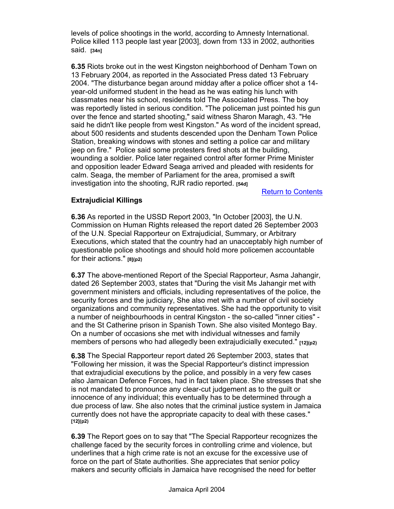levels of police shootings in the world, according to Amnesty International. Police killed 113 people last year [2003], down from 133 in 2002, authorities said. **[34n]**

**6.35** Riots broke out in the west Kingston neighborhood of Denham Town on 13 February 2004, as reported in the Associated Press dated 13 February 2004. "The disturbance began around midday after a police officer shot a 14 year-old uniformed student in the head as he was eating his lunch with classmates near his school, residents told The Associated Press. The boy was reportedly listed in serious condition. "The policeman just pointed his gun over the fence and started shooting," said witness Sharon Maragh, 43. "He said he didn't like people from west Kingston." As word of the incident spread, about 500 residents and students descended upon the Denham Town Police Station, breaking windows with stones and setting a police car and military jeep on fire." Police said some protesters fired shots at the building, wounding a soldier. Police later regained control after former Prime Minister and opposition leader Edward Seaga arrived and pleaded with residents for calm. Seaga, the member of Parliament for the area, promised a swift investigation into the shooting, RJR radio reported. **[54d]** 

Return to Contents

#### **Extrajudicial Killings**

**6.36** As reported in the USSD Report 2003, "In October [2003], the U.N. Commission on Human Rights released the report dated 26 September 2003 of the U.N. Special Rapporteur on Extrajudicial, Summary, or Arbitrary Executions, which stated that the country had an unacceptably high number of questionable police shootings and should hold more policemen accountable for their actions." **[8](p2)**

**6.37** The above-mentioned Report of the Special Rapporteur, Asma Jahangir, dated 26 September 2003, states that "During the visit Ms Jahangir met with government ministers and officials, including representatives of the police, the security forces and the judiciary, She also met with a number of civil society organizations and community representatives. She had the opportunity to visit a number of neighbourhoods in central Kingston - the so-called "inner cities" and the St Catherine prison in Spanish Town. She also visited Montego Bay. On a number of occasions she met with individual witnesses and family members of persons who had allegedly been extrajudicially executed." **[12](p2)** 

**6.38** The Special Rapporteur report dated 26 September 2003, states that "Following her mission, it was the Special Rapporteur's distinct impression that extrajudicial executions by the police, and possibly in a very few cases also Jamaican Defence Forces, had in fact taken place. She stresses that she is not mandated to pronounce any clear-cut judgement as to the guilt or innocence of any individual; this eventually has to be determined through a due process of law. She also notes that the criminal justice system in Jamaica currently does not have the appropriate capacity to deal with these cases." **[12](p2)**

**6.39** The Report goes on to say that "The Special Rapporteur recognizes the challenge faced by the security forces in controlling crime and violence, but underlines that a high crime rate is not an excuse for the excessive use of force on the part of State authorities. She appreciates that senior policy makers and security officials in Jamaica have recognised the need for better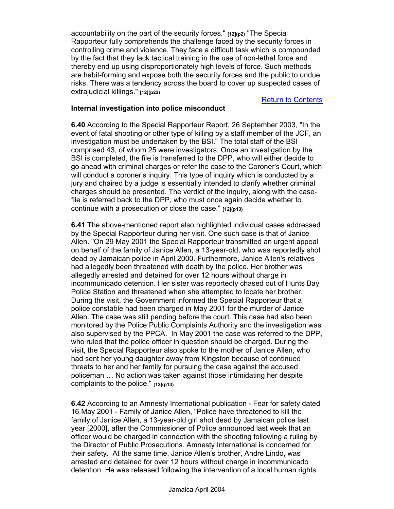accountability on the part of the security forces." **[12](p2)** "The Special Rapporteur fully comprehends the challenge faced by the security forces in controlling crime and violence. They face a difficult task which is compounded by the fact that they lack tactical training in the use of non-lethal force and thereby end up using disproportionately high levels of force. Such methods are habit-forming and expose both the security forces and the public to undue risks. There was a tendency across the board to cover up suspected cases of extrajudicial killings." **[12](p22)**

#### Return to Contents

#### **Internal investigation into police misconduct**

**6.40** According to the Special Rapporteur Report, 26 September 2003, "In the event of fatal shooting or other type of killing by a staff member of the JCF, an investigation must be undertaken by the BSI." The total staff of the BSI comprised 43, of whom 25 were investigators. Once an investigation by the BSI is completed, the file is transferred to the DPP, who will either decide to go ahead with criminal charges or refer the case to the Coroner's Court, which will conduct a coroner's inquiry. This type of inquiry which is conducted by a jury and chaired by a judge is essentially intended to clarify whether criminal charges should be presented. The verdict of the inquiry, along with the casefile is referred back to the DPP, who must once again decide whether to continue with a prosecution or close the case." **[12](p13)**

**6.41** The above-mentioned report also highlighted individual cases addressed by the Special Rapporteur during her visit. One such case is that of Janice Allen. "On 29 May 2001 the Special Rapporteur transmitted an urgent appeal on behalf of the family of Janice Allen, a 13-year-old, who was reportedly shot dead by Jamaican police in April 2000. Furthermore, Janice Allen's relatives had allegedly been threatened with death by the police. Her brother was allegedly arrested and detained for over 12 hours without charge in incommunicado detention. Her sister was reportedly chased out of Hunts Bay Police Station and threatened when she attempted to locate her brother. During the visit, the Government informed the Special Rapporteur that a police constable had been charged in May 2001 for the murder of Janice Allen. The case was still pending before the court. This case had also been monitored by the Police Public Complaints Authority and the investigation was also supervised by the PPCA. In May 2001 the case was referred to the DPP, who ruled that the police officer in question should be charged. During the visit, the Special Rapporteur also spoke to the mother of Janice Allen, who had sent her young daughter away from Kingston because of continued threats to her and her family for pursuing the case against the accused policeman … No action was taken against those intimidating her despite complaints to the police." **[12](p13)**

**6.42** According to an Amnesty International publication - Fear for safety dated 16 May 2001 - Family of Janice Allen, "Police have threatened to kill the family of Janice Allen, a 13-year-old girl shot dead by Jamaican police last year [2000], after the Commissioner of Police announced last week that an officer would be charged in connection with the shooting following a ruling by the Director of Public Prosecutions. Amnesty International is concerned for their safety. At the same time, Janice Allen's brother, Andre Lindo, was arrested and detained for over 12 hours without charge in incommunicado detention. He was released following the intervention of a local human rights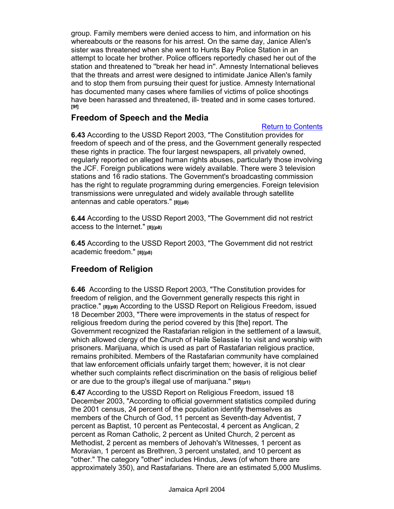group. Family members were denied access to him, and information on his whereabouts or the reasons for his arrest. On the same day, Janice Allen's sister was threatened when she went to Hunts Bay Police Station in an attempt to locate her brother. Police officers reportedly chased her out of the station and threatened to ''break her head in''. Amnesty International believes that the threats and arrest were designed to intimidate Janice Allen's family and to stop them from pursuing their quest for justice. Amnesty International has documented many cases where families of victims of police shootings have been harassed and threatened, ill- treated and in some cases tortured. **[9f]**

### **Freedom of Speech and the Media**

#### Return to Contents

**6.43** According to the USSD Report 2003, "The Constitution provides for freedom of speech and of the press, and the Government generally respected these rights in practice. The four largest newspapers, all privately owned, regularly reported on alleged human rights abuses, particularly those involving the JCF. Foreign publications were widely available. There were 3 television stations and 16 radio stations. The Government's broadcasting commission has the right to regulate programming during emergencies. Foreign television transmissions were unregulated and widely available through satellite antennas and cable operators." **[8](p8)**

**6.44** According to the USSD Report 2003, "The Government did not restrict access to the Internet." **[8](p8)**

**6.45** According to the USSD Report 2003, "The Government did not restrict academic freedom." **[8](p8)**

## **Freedom of Religion**

**6.46** According to the USSD Report 2003, "The Constitution provides for freedom of religion, and the Government generally respects this right in practice." **[8](p9)** According to the USSD Report on Religious Freedom, issued 18 December 2003, "There were improvements in the status of respect for religious freedom during the period covered by this [the] report. The Government recognized the Rastafarian religion in the settlement of a lawsuit, which allowed clergy of the Church of Haile Selassie I to visit and worship with prisoners. Marijuana, which is used as part of Rastafarian religious practice, remains prohibited. Members of the Rastafarian community have complained that law enforcement officials unfairly target them; however, it is not clear whether such complaints reflect discrimination on the basis of religious belief or are due to the group's illegal use of marijuana." **[59](p1)**

**6.47** According to the USSD Report on Religious Freedom, issued 18 December 2003, "According to official government statistics compiled during the 2001 census, 24 percent of the population identify themselves as members of the Church of God, 11 percent as Seventh-day Adventist, 7 percent as Baptist, 10 percent as Pentecostal, 4 percent as Anglican, 2 percent as Roman Catholic, 2 percent as United Church, 2 percent as Methodist, 2 percent as members of Jehovah's Witnesses, 1 percent as Moravian, 1 percent as Brethren, 3 percent unstated, and 10 percent as "other." The category "other" includes Hindus, Jews (of whom there are approximately 350), and Rastafarians. There are an estimated 5,000 Muslims.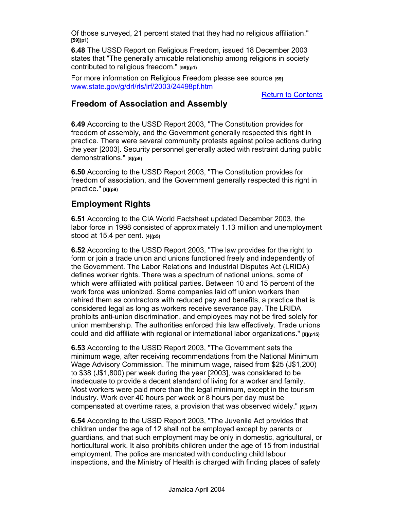Of those surveyed, 21 percent stated that they had no religious affiliation." **[59](p1)** 

**6.48** The USSD Report on Religious Freedom, issued 18 December 2003 states that "The generally amicable relationship among religions in society contributed to religious freedom." **[59](p1)**

For more information on Religious Freedom please see source **[59]** www.state.gov/g/drl/rls/irf/2003/24498pf.htm

Return to Contents

#### **Freedom of Association and Assembly**

**6.49** According to the USSD Report 2003, "The Constitution provides for freedom of assembly, and the Government generally respected this right in practice. There were several community protests against police actions during the year [2003]. Security personnel generally acted with restraint during public demonstrations." **[8](p8)**

**6.50** According to the USSD Report 2003, "The Constitution provides for freedom of association, and the Government generally respected this right in practice." **[8](p9)**

## **Employment Rights**

**6.51** According to the CIA World Factsheet updated December 2003, the labor force in 1998 consisted of approximately 1.13 million and unemployment stood at 15.4 per cent. **[4](p5)**

**6.52** According to the USSD Report 2003, "The law provides for the right to form or join a trade union and unions functioned freely and independently of the Government. The Labor Relations and Industrial Disputes Act (LRIDA) defines worker rights. There was a spectrum of national unions, some of which were affiliated with political parties. Between 10 and 15 percent of the work force was unionized. Some companies laid off union workers then rehired them as contractors with reduced pay and benefits, a practice that is considered legal as long as workers receive severance pay. The LRIDA prohibits anti-union discrimination, and employees may not be fired solely for union membership. The authorities enforced this law effectively. Trade unions could and did affiliate with regional or international labor organizations." **[8](p15)**

**6.53** According to the USSD Report 2003, "The Government sets the minimum wage, after receiving recommendations from the National Minimum Wage Advisory Commission. The minimum wage, raised from \$25 (J\$1,200) to \$38 (J\$1,800) per week during the year [2003], was considered to be inadequate to provide a decent standard of living for a worker and family. Most workers were paid more than the legal minimum, except in the tourism industry. Work over 40 hours per week or 8 hours per day must be compensated at overtime rates, a provision that was observed widely." **[8](p17)**

**6.54** According to the USSD Report 2003, "The Juvenile Act provides that children under the age of 12 shall not be employed except by parents or guardians, and that such employment may be only in domestic, agricultural, or horticultural work. It also prohibits children under the age of 15 from industrial employment. The police are mandated with conducting child labour inspections, and the Ministry of Health is charged with finding places of safety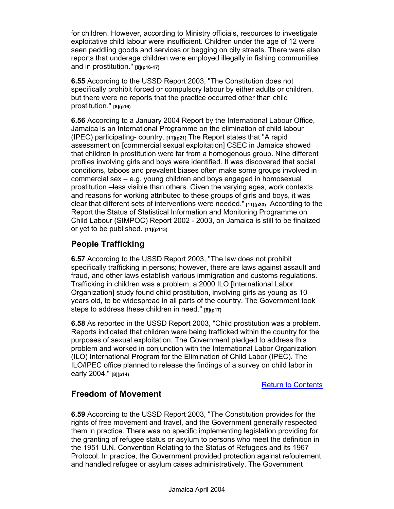for children. However, according to Ministry officials, resources to investigate exploitative child labour were insufficient. Children under the age of 12 were seen peddling goods and services or begging on city streets. There were also reports that underage children were employed illegally in fishing communities and in prostitution." **[8](p16-17)**

**6.55** According to the USSD Report 2003, "The Constitution does not specifically prohibit forced or compulsory labour by either adults or children, but there were no reports that the practice occurred other than child prostitution." **[8](p16)**

**6.56** According to a January 2004 Report by the International Labour Office, Jamaica is an International Programme on the elimination of child labour (IPEC) participating- country. **[11](p21)** The Report states that "A rapid assessment on [commercial sexual exploitation] CSEC in Jamaica showed that children in prostitution were far from a homogenous group. Nine different profiles involving girls and boys were identified. It was discovered that social conditions, taboos and prevalent biases often make some groups involved in commercial sex – e.g. young children and boys engaged in homosexual prostitution –less visible than others. Given the varying ages, work contexts and reasons for working attributed to these groups of girls and boys, it was clear that different sets of interventions were needed." **[11](p33)** According to the Report the Status of Statistical Information and Monitoring Programme on Child Labour (SIMPOC) Report 2002 - 2003, on Jamaica is still to be finalized or yet to be published. **[11](p113)**

## **People Trafficking**

**6.57** According to the USSD Report 2003, "The law does not prohibit specifically trafficking in persons; however, there are laws against assault and fraud, and other laws establish various immigration and customs regulations. Trafficking in children was a problem; a 2000 ILO [International Labor Organization] study found child prostitution, involving girls as young as 10 years old, to be widespread in all parts of the country. The Government took steps to address these children in need." **[8](p17)**

**6.58** As reported in the USSD Report 2003, "Child prostitution was a problem. Reports indicated that children were being trafficked within the country for the purposes of sexual exploitation. The Government pledged to address this problem and worked in conjunction with the International Labor Organization (ILO) International Program for the Elimination of Child Labor (IPEC). The ILO/IPEC office planned to release the findings of a survey on child labor in early 2004." **[8](p14)**

Return to Contents

## **Freedom of Movement**

**6.59** According to the USSD Report 2003, "The Constitution provides for the rights of free movement and travel, and the Government generally respected them in practice. There was no specific implementing legislation providing for the granting of refugee status or asylum to persons who meet the definition in the 1951 U.N. Convention Relating to the Status of Refugees and its 1967 Protocol. In practice, the Government provided protection against refoulement and handled refugee or asylum cases administratively. The Government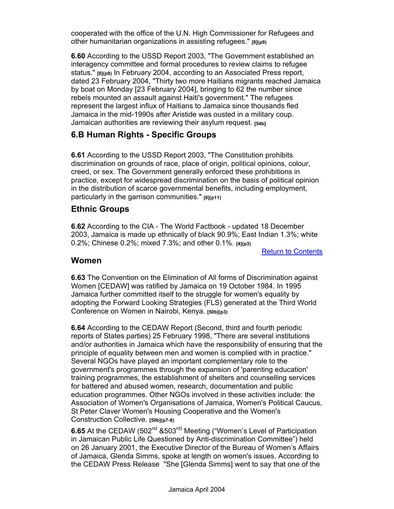cooperated with the office of the U.N. High Commissioner for Refugees and other humanitarian organizations in assisting refugees." **[8](p9)**

**6.60** According to the USSD Report 2003, "The Government established an interagency committee and formal procedures to review claims to refugee status." **[8](p9)** In February 2004, according to an Associated Press report, dated 23 February 2004, "Thirty two more Haitians migrants reached Jamaica by boat on Monday [23 February 2004], bringing to 62 the number since rebels mounted an assault against Haiti's government." The refugees represent the largest influx of Haitians to Jamaica since thousands fled Jamaica in the mid-1990s after Aristide was ousted in a military coup. Jamaican authorities are reviewing their asylum request. **[54b]**

### **6.B Human Rights - Specific Groups**

**6.61** According to the USSD Report 2003, "The Constitution prohibits discrimination on grounds of race, place of origin, political opinions, colour, creed, or sex. The Government generally enforced these prohibitions in practice, except for widespread discrimination on the basis of political opinion in the distribution of scarce governmental benefits, including employment, particularly in the garrison communities." **[8](p11)**

### **Ethnic Groups**

**6.62** According to the CIA - The World Factbook - updated 18 December 2003, Jamaica is made up ethnically of black 90.9%; East Indian 1.3%; white 0.2%; Chinese 0.2%; mixed 7.3%; and other 0.1%. **[4](p3)**

Return to Contents

#### **Women**

**6.63** The Convention on the Elimination of All forms of Discrimination against Women [CEDAW] was ratified by Jamaica on 19 October 1984. In 1995 Jamaica further committed itself to the struggle for women's equality by adopting the Forward Looking Strategies (FLS) generated at the Third World Conference on Women in Nairobi, Kenya. **[50b](p3)**

**6.64** According to the CEDAW Report (Second, third and fourth periodic reports of States parties) 25 February 1998, "There are several institutions and/or authorities in Jamaica which have the responsibility of ensuring that the principle of equality between men and women is complied with in practice." Several NGOs have played an important complementary role to the government's programmes through the expansion of 'parenting education' training programmes, the establishment of shelters and counselling services for battered and abused women, research, documentation and public education programmes. Other NGOs involved in these activities include: the Association of Women's Organisations of Jamaica, Women's Political Caucus, St Peter Claver Women's Housing Cooperative and the Women's Construction Collective. **[50b](p7-8)**

**6.65** At the CEDAW (502<sup>nd</sup> &503<sup>rd)</sup> Meeting ("Women's Level of Participation in Jamaican Public Life Questioned by Anti-discrimination Committee") held on 26 January 2001, the Executive Director of the Bureau of Women's Affairs of Jamaica, Glenda Simms, spoke at length on women's issues. According to the CEDAW Press Release "She [Glenda Simms] went to say that one of the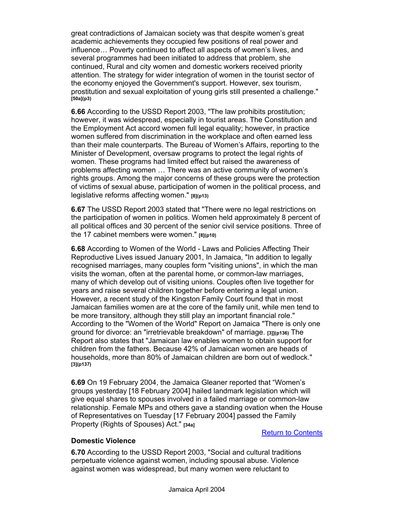great contradictions of Jamaican society was that despite women's great academic achievements they occupied few positions of real power and influence… Poverty continued to affect all aspects of women's lives, and several programmes had been initiated to address that problem, she continued, Rural and city women and domestic workers received priority attention. The strategy for wider integration of women in the tourist sector of the economy enjoyed the Government's support. However, sex tourism, prostitution and sexual exploitation of young girls still presented a challenge." **[50a](p3)** 

**6.66** According to the USSD Report 2003, "The law prohibits prostitution; however, it was widespread, especially in tourist areas. The Constitution and the Employment Act accord women full legal equality; however, in practice women suffered from discrimination in the workplace and often earned less than their male counterparts. The Bureau of Women's Affairs, reporting to the Minister of Development, oversaw programs to protect the legal rights of women. These programs had limited effect but raised the awareness of problems affecting women … There was an active community of women's rights groups. Among the major concerns of these groups were the protection of victims of sexual abuse, participation of women in the political process, and legislative reforms affecting women." **[8](p13)**

**6.67** The USSD Report 2003 stated that "There were no legal restrictions on the participation of women in politics. Women held approximately 8 percent of all political offices and 30 percent of the senior civil service positions. Three of the 17 cabinet members were women." **[8](p10)**

**6.68** According to Women of the World - Laws and Policies Affecting Their Reproductive Lives issued January 2001, In Jamaica, "In addition to legally recognised marriages, many couples form "visiting unions", in which the man visits the woman, often at the parental home, or common-law marriages, many of which develop out of visiting unions. Couples often live together for years and raise several children together before entering a legal union. However, a recent study of the Kingston Family Court found that in most Jamaican families women are at the core of the family unit, while men tend to be more transitory, although they still play an important financial role." According to the "Women of the World" Report on Jamaica "There is only one ground for divorce: an "irretrievable breakdown" of marriage. **[3]](p136)** The Report also states that "Jamaican law enables women to obtain support for children from the fathers. Because 42% of Jamaican women are heads of households, more than 80% of Jamaican children are born out of wedlock." **[3](p137)**

**6.69** On 19 February 2004, the Jamaica Gleaner reported that "Women's groups yesterday [18 February 2004] hailed landmark legislation which will give equal shares to spouses involved in a failed marriage or common-law relationship. Female MPs and others gave a standing ovation when the House of Representatives on Tuesday [17 February 2004] passed the Family Property (Rights of Spouses) Act." **[34a]**

#### Return to Contents

#### **Domestic Violence**

**6.70** According to the USSD Report 2003, "Social and cultural traditions perpetuate violence against women, including spousal abuse. Violence against women was widespread, but many women were reluctant to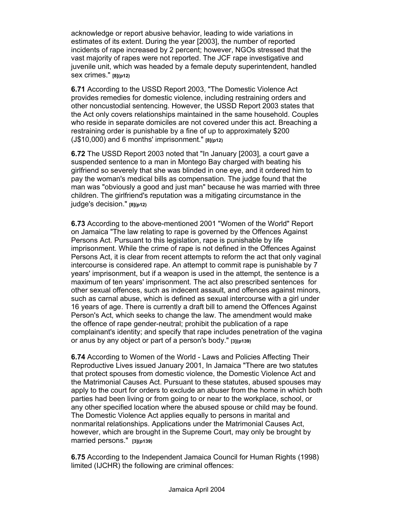acknowledge or report abusive behavior, leading to wide variations in estimates of its extent. During the year [2003], the number of reported incidents of rape increased by 2 percent; however, NGOs stressed that the vast majority of rapes were not reported. The JCF rape investigative and juvenile unit, which was headed by a female deputy superintendent, handled sex crimes." **[8](p12)**

**6.71** According to the USSD Report 2003, "The Domestic Violence Act provides remedies for domestic violence, including restraining orders and other noncustodial sentencing. However, the USSD Report 2003 states that the Act only covers relationships maintained in the same household. Couples who reside in separate domiciles are not covered under this act. Breaching a restraining order is punishable by a fine of up to approximately \$200 (J\$10,000) and 6 months' imprisonment." **[8](p12)**

**6.72** The USSD Report 2003 noted that "In January [2003], a court gave a suspended sentence to a man in Montego Bay charged with beating his girlfriend so severely that she was blinded in one eye, and it ordered him to pay the woman's medical bills as compensation. The judge found that the man was "obviously a good and just man" because he was married with three children. The girlfriend's reputation was a mitigating circumstance in the judge's decision." **[8](p12)**

**6.73** According to the above-mentioned 2001 "Women of the World" Report on Jamaica "The law relating to rape is governed by the Offences Against Persons Act. Pursuant to this legislation, rape is punishable by life imprisonment. While the crime of rape is not defined in the Offences Against Persons Act, it is clear from recent attempts to reform the act that only vaginal intercourse is considered rape. An attempt to commit rape is punishable by 7 years' imprisonment, but if a weapon is used in the attempt, the sentence is a maximum of ten years' imprisonment. The act also prescribed sentences for other sexual offences, such as indecent assault, and offences against minors, such as carnal abuse, which is defined as sexual intercourse with a girl under 16 years of age. There is currently a draft bill to amend the Offences Against Person's Act, which seeks to change the law. The amendment would make the offence of rape gender-neutral; prohibit the publication of a rape complainant's identity; and specify that rape includes penetration of the vagina or anus by any object or part of a person's body." **[3](p139)**

**6.74** According to Women of the World - Laws and Policies Affecting Their Reproductive Lives issued January 2001, In Jamaica "There are two statutes that protect spouses from domestic violence, the Domestic Violence Act and the Matrimonial Causes Act. Pursuant to these statutes, abused spouses may apply to the court for orders to exclude an abuser from the home in which both parties had been living or from going to or near to the workplace, school, or any other specified location where the abused spouse or child may be found. The Domestic Violence Act applies equally to persons in marital and nonmarital relationships. Applications under the Matrimonial Causes Act, however, which are brought in the Supreme Court, may only be brought by married persons." **[3](p139)**

**6.75** According to the Independent Jamaica Council for Human Rights (1998) limited (IJCHR) the following are criminal offences: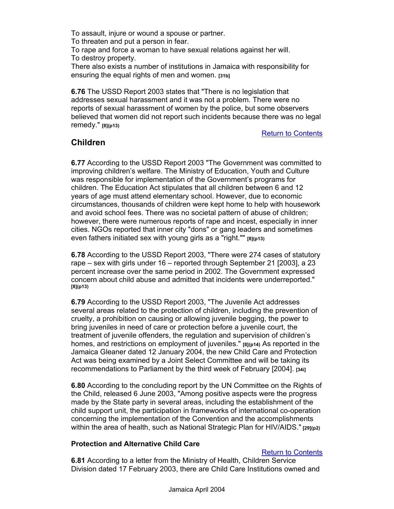To assault, injure or wound a spouse or partner. To threaten and put a person in fear. To rape and force a woman to have sexual relations against her will. To destroy property.

There also exists a number of institutions in Jamaica with responsibility for ensuring the equal rights of men and women. **[31b]**

**6.76** The USSD Report 2003 states that "There is no legislation that addresses sexual harassment and it was not a problem. There were no reports of sexual harassment of women by the police, but some observers believed that women did not report such incidents because there was no legal remedy." **[8](p13)**

Return to Contents

### **Children**

**6.77** According to the USSD Report 2003 "The Government was committed to improving children's welfare. The Ministry of Education, Youth and Culture was responsible for implementation of the Government's programs for children. The Education Act stipulates that all children between 6 and 12 years of age must attend elementary school. However, due to economic circumstances, thousands of children were kept home to help with housework and avoid school fees. There was no societal pattern of abuse of children; however, there were numerous reports of rape and incest, especially in inner cities. NGOs reported that inner city "dons" or gang leaders and sometimes even fathers initiated sex with young girls as a "right."" **[8](p13)** 

**6.78** According to the USSD Report 2003, "There were 274 cases of statutory rape – sex with girls under 16 – reported through September 21 [2003], a 23 percent increase over the same period in 2002. The Government expressed concern about child abuse and admitted that incidents were underreported." **[8](p13)**

**6.79** According to the USSD Report 2003, "The Juvenile Act addresses several areas related to the protection of children, including the prevention of cruelty, a prohibition on causing or allowing juvenile begging, the power to bring juveniles in need of care or protection before a juvenile court, the treatment of juvenile offenders, the regulation and supervision of children's homes, and restrictions on employment of juveniles." **[8](p14)** As reported in the Jamaica Gleaner dated 12 January 2004, the new Child Care and Protection Act was being examined by a Joint Select Committee and will be taking its recommendations to Parliament by the third week of February [2004]. **[34i]**

**6.80** According to the concluding report by the UN Committee on the Rights of the Child, released 6 June 2003, "Among positive aspects were the progress made by the State party in several areas, including the establishment of the child support unit, the participation in frameworks of international co-operation concerning the implementation of the Convention and the accomplishments within the area of health, such as National Strategic Plan for HIV/AIDS." **[29](p2)**

#### **Protection and Alternative Child Care**

#### Return to Contents

**6.81** According to a letter from the Ministry of Health, Children Service Division dated 17 February 2003, there are Child Care Institutions owned and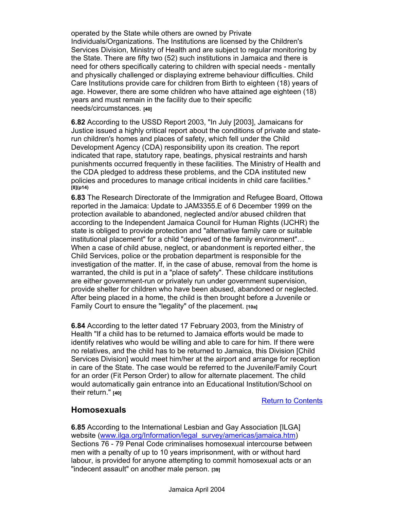operated by the State while others are owned by Private Individuals/Organizations. The Institutions are licensed by the Children's Services Division, Ministry of Health and are subject to regular monitoring by the State. There are fifty two (52) such institutions in Jamaica and there is need for others specifically catering to children with special needs - mentally and physically challenged or displaying extreme behaviour difficulties. Child Care Institutions provide care for children from Birth to eighteen (18) years of age. However, there are some children who have attained age eighteen (18) years and must remain in the facility due to their specific needs/circumstances. **[40]** 

**6.82** According to the USSD Report 2003, "In July [2003], Jamaicans for Justice issued a highly critical report about the conditions of private and staterun children's homes and places of safety, which fell under the Child Development Agency (CDA) responsibility upon its creation. The report indicated that rape, statutory rape, beatings, physical restraints and harsh punishments occurred frequently in these facilities. The Ministry of Health and the CDA pledged to address these problems, and the CDA instituted new policies and procedures to manage critical incidents in child care facilities." **[8](p14)**

**6.83** The Research Directorate of the Immigration and Refugee Board, Ottowa reported in the Jamaica: Update to JAM3355.E of 6 December 1999 on the protection available to abandoned, neglected and/or abused children that according to the Independent Jamaica Council for Human Rights (IJCHR) the state is obliged to provide protection and "alternative family care or suitable institutional placement" for a child "deprived of the family environment"… When a case of child abuse, neglect, or abandonment is reported either, the Child Services, police or the probation department is responsible for the investigation of the matter. If, in the case of abuse, removal from the home is warranted, the child is put in a "place of safety". These childcare institutions are either government-run or privately run under government supervision, provide shelter for children who have been abused, abandoned or neglected. After being placed in a home, the child is then brought before a Juvenile or Family Court to ensure the "legality" of the placement. **[10a]** 

**6.84** According to the letter dated 17 February 2003, from the Ministry of Health "If a child has to be returned to Jamaica efforts would be made to identify relatives who would be willing and able to care for him. If there were no relatives, and the child has to be returned to Jamaica, this Division [Child Services Division] would meet him/her at the airport and arrange for reception in care of the State. The case would be referred to the Juvenile/Family Court for an order (Fit Person Order) to allow for alternate placement. The child would automatically gain entrance into an Educational Institution/School on their return." **[40]**

Return to Contents

### **Homosexuals**

**6.85** According to the International Lesbian and Gay Association [ILGA] website (www.ilga.org/Information/legal\_survey/americas/jamaica.htm) Sections 76 - 79 Penal Code criminalises homosexual intercourse between men with a penalty of up to 10 years imprisonment, with or without hard labour, is provided for anyone attempting to commit homosexual acts or an "indecent assault" on another male person. **[39]**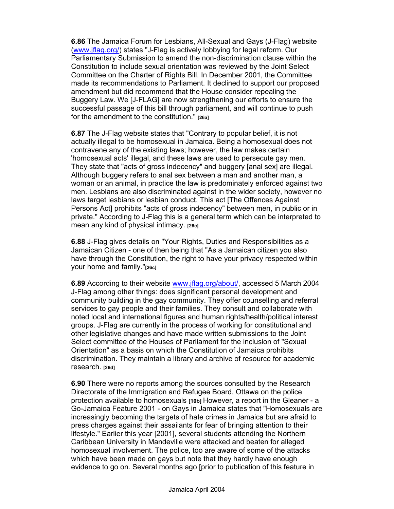**6.86** The Jamaica Forum for Lesbians, All-Sexual and Gays (J-Flag) website (www.jflag.org/) states "J-Flag is actively lobbying for legal reform. Our Parliamentary Submission to amend the non-discrimination clause within the Constitution to include sexual orientation was reviewed by the Joint Select Committee on the Charter of Rights Bill. In December 2001, the Committee made its recommendations to Parliament. It declined to support our proposed amendment but did recommend that the House consider repealing the Buggery Law. We [J-FLAG] are now strengthening our efforts to ensure the successful passage of this bill through parliament, and will continue to push for the amendment to the constitution." **[26a]**

**6.87** The J-Flag website states that "Contrary to popular belief, it is not actually illegal to be homosexual in Jamaica. Being a homosexual does not contravene any of the existing laws; however, the law makes certain 'homosexual acts' illegal, and these laws are used to persecute gay men. They state that "acts of gross indecency" and buggery [anal sex] are illegal. Although buggery refers to anal sex between a man and another man, a woman or an animal, in practice the law is predominately enforced against two men. Lesbians are also discriminated against in the wider society, however no laws target lesbians or lesbian conduct. This act [The Offences Against Persons Act] prohibits "acts of gross indecency" between men, in public or in private." According to J-Flag this is a general term which can be interpreted to mean any kind of physical intimacy. **[26c]**

**6.88** J-Flag gives details on "Your Rights, Duties and Responsibilities as a Jamaican Citizen - one of then being that "As a Jamaican citizen you also have through the Constitution, the right to have your privacy respected within your home and family."**[26c]**

**6.89** According to their website www.jflag.org/about/, accessed 5 March 2004 J-Flag among other things: does significant personal development and community building in the gay community. They offer counselling and referral services to gay people and their families. They consult and collaborate with noted local and international figures and human rights/health/political interest groups. J-Flag are currently in the process of working for constitutional and other legislative changes and have made written submissions to the Joint Select committee of the Houses of Parliament for the inclusion of "Sexual Orientation" as a basis on which the Constitution of Jamaica prohibits discrimination. They maintain a library and archive of resource for academic research. **[26d]**

**6.90** There were no reports among the sources consulted by the Research Directorate of the Immigration and Refugee Board, Ottawa on the police protection available to homosexuals **[10b]** However, a report in the Gleaner - a Go-Jamaica Feature 2001 - on Gays in Jamaica states that "Homosexuals are increasingly becoming the targets of hate crimes in Jamaica but are afraid to press charges against their assailants for fear of bringing attention to their lifestyle." Earlier this year [2001], several students attending the Northern Caribbean University in Mandeville were attacked and beaten for alleged homosexual involvement. The police, too are aware of some of the attacks which have been made on gays but note that they hardly have enough evidence to go on. Several months ago [prior to publication of this feature in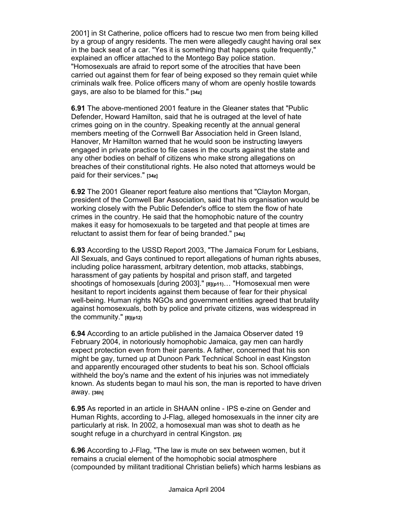2001] in St Catherine, police officers had to rescue two men from being killed by a group of angry residents. The men were allegedly caught having oral sex in the back seat of a car. "Yes it is something that happens quite frequently," explained an officer attached to the Montego Bay police station. "Homosexuals are afraid to report some of the atrocities that have been carried out against them for fear of being exposed so they remain quiet while criminals walk free. Police officers many of whom are openly hostile towards gays, are also to be blamed for this." **[34z]**

**6.91** The above-mentioned 2001 feature in the Gleaner states that "Public Defender, Howard Hamilton, said that he is outraged at the level of hate crimes going on in the country. Speaking recently at the annual general members meeting of the Cornwell Bar Association held in Green Island, Hanover, Mr Hamilton warned that he would soon be instructing lawyers engaged in private practice to file cases in the courts against the state and any other bodies on behalf of citizens who make strong allegations on breaches of their constitutional rights. He also noted that attorneys would be paid for their services." **[34z]**

**6.92** The 2001 Gleaner report feature also mentions that "Clayton Morgan, president of the Cornwell Bar Association, said that his organisation would be working closely with the Public Defender's office to stem the flow of hate crimes in the country. He said that the homophobic nature of the country makes it easy for homosexuals to be targeted and that people at times are reluctant to assist them for fear of being branded." **[34z]**

**6.93** According to the USSD Report 2003, "The Jamaica Forum for Lesbians, All Sexuals, and Gays continued to report allegations of human rights abuses, including police harassment, arbitrary detention, mob attacks, stabbings, harassment of gay patients by hospital and prison staff, and targeted shootings of homosexuals [during 2003]." **[8](p11)**… "Homosexual men were hesitant to report incidents against them because of fear for their physical well-being. Human rights NGOs and government entities agreed that brutality against homosexuals, both by police and private citizens, was widespread in the community." **[8](p12)**

**6.94** According to an article published in the Jamaica Observer dated 19 February 2004, in notoriously homophobic Jamaica, gay men can hardly expect protection even from their parents. A father, concerned that his son might be gay, turned up at Dunoon Park Technical School in east Kingston and apparently encouraged other students to beat his son. School officials withheld the boy's name and the extent of his injuries was not immediately known. As students began to maul his son, the man is reported to have driven away. **[36h]**

**6.95** As reported in an article in SHAAN online - IPS e-zine on Gender and Human Rights, according to J-Flag, alleged homosexuals in the inner city are particularly at risk. In 2002, a homosexual man was shot to death as he sought refuge in a churchyard in central Kingston. **[25]**

**6.96** According to J-Flag, "The law is mute on sex between women, but it remains a crucial element of the homophobic social atmosphere (compounded by militant traditional Christian beliefs) which harms lesbians as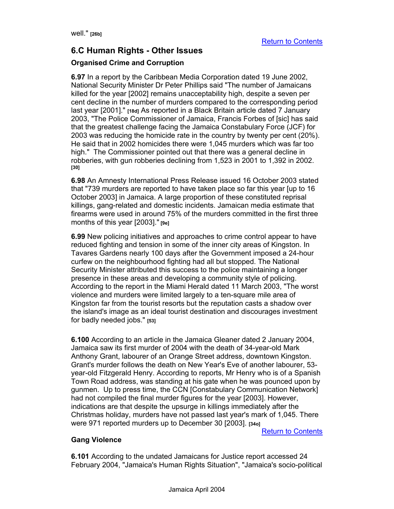## **6.C Human Rights - Other Issues**

#### **Organised Crime and Corruption**

**6.97** In a report by the Caribbean Media Corporation dated 19 June 2002, National Security Minister Dr Peter Phillips said "The number of Jamaicans killed for the year [2002] remains unacceptability high, despite a seven per cent decline in the number of murders compared to the corresponding period last year [2001]." **[18d]** As reported in a Black Britain article dated 7 January 2003, "The Police Commissioner of Jamaica, Francis Forbes of [sic] has said that the greatest challenge facing the Jamaica Constabulary Force (JCF) for 2003 was reducing the homicide rate in the country by twenty per cent (20%). He said that in 2002 homicides there were 1,045 murders which was far too high." The Commissioner pointed out that there was a general decline in robberies, with gun robberies declining from 1,523 in 2001 to 1,392 in 2002. **[30]**

**6.98** An Amnesty International Press Release issued 16 October 2003 stated that "739 murders are reported to have taken place so far this year [up to 16 October 2003] in Jamaica. A large proportion of these constituted reprisal killings, gang-related and domestic incidents. Jamaican media estimate that firearms were used in around 75% of the murders committed in the first three months of this year [2003]." **[9e]** 

**6.99** New policing initiatives and approaches to crime control appear to have reduced fighting and tension in some of the inner city areas of Kingston. In Tavares Gardens nearly 100 days after the Government imposed a 24-hour curfew on the neighbourhood fighting had all but stopped. The National Security Minister attributed this success to the police maintaining a longer presence in these areas and developing a community style of policing. According to the report in the Miami Herald dated 11 March 2003, "The worst violence and murders were limited largely to a ten-square mile area of Kingston far from the tourist resorts but the reputation casts a shadow over the island's image as an ideal tourist destination and discourages investment for badly needed jobs." **[53]**

**6.100** According to an article in the Jamaica Gleaner dated 2 January 2004, Jamaica saw its first murder of 2004 with the death of 34-year-old Mark Anthony Grant, labourer of an Orange Street address, downtown Kingston. Grant's murder follows the death on New Year's Eve of another labourer, 53 year-old Fitzgerald Henry. According to reports, Mr Henry who is of a Spanish Town Road address, was standing at his gate when he was pounced upon by gunmen. Up to press time, the CCN [Constabulary Communication Network] had not compiled the final murder figures for the year [2003]. However, indications are that despite the upsurge in killings immediately after the Christmas holiday, murders have not passed last year's mark of 1,045. There were 971 reported murders up to December 30 [2003]. **[34o]**

Return to Contents

#### **Gang Violence**

**6.101** According to the undated Jamaicans for Justice report accessed 24 February 2004, "Jamaica's Human Rights Situation", "Jamaica's socio-political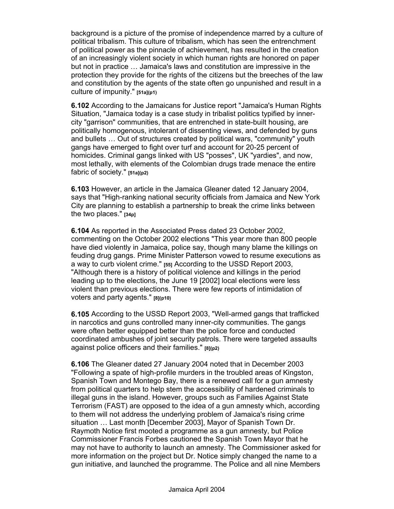background is a picture of the promise of independence marred by a culture of political tribalism. This culture of tribalism, which has seen the entrenchment of political power as the pinnacle of achievement, has resulted in the creation of an increasingly violent society in which human rights are honored on paper but not in practice … Jamaica's laws and constitution are impressive in the protection they provide for the rights of the citizens but the breeches of the law and constitution by the agents of the state often go unpunished and result in a culture of impunity." **[51a](p1)** 

**6.102** According to the Jamaicans for Justice report "Jamaica's Human Rights Situation, "Jamaica today is a case study in tribalist politics typified by innercity "garrison" communities, that are entrenched in state-built housing, are politically homogenous, intolerant of dissenting views, and defended by guns and bullets … Out of structures created by political wars, "community" youth gangs have emerged to fight over turf and account for 20-25 percent of homicides. Criminal gangs linked with US "posses", UK "yardies", and now, most lethally, with elements of the Colombian drugs trade menace the entire fabric of society." **[51a](p2)**

**6.103** However, an article in the Jamaica Gleaner dated 12 January 2004, says that "High-ranking national security officials from Jamaica and New York City are planning to establish a partnership to break the crime links between the two places." **[34p]**

**6.104** As reported in the Associated Press dated 23 October 2002, commenting on the October 2002 elections "This year more than 800 people have died violently in Jamaica, police say, though many blame the killings on feuding drug gangs. Prime Minister Patterson vowed to resume executions as a way to curb violent crime." **[55]** According to the USSD Report 2003, "Although there is a history of political violence and killings in the period leading up to the elections, the June 19 [2002] local elections were less violent than previous elections. There were few reports of intimidation of voters and party agents." **[8](p10)**

**6.105** According to the USSD Report 2003, "Well-armed gangs that trafficked in narcotics and guns controlled many inner-city communities. The gangs were often better equipped better than the police force and conducted coordinated ambushes of joint security patrols. There were targeted assaults against police officers and their families." **[8](p2)**

**6.106** The Gleaner dated 27 January 2004 noted that in December 2003 "Following a spate of high-profile murders in the troubled areas of Kingston, Spanish Town and Montego Bay, there is a renewed call for a gun amnesty from political quarters to help stem the accessibility of hardened criminals to illegal guns in the island. However, groups such as Families Against State Terrorism (FAST) are opposed to the idea of a gun amnesty which, according to them will not address the underlying problem of Jamaica's rising crime situation … Last month [December 2003], Mayor of Spanish Town Dr. Raymoth Notice first mooted a programme as a gun amnesty, but Police Commissioner Francis Forbes cautioned the Spanish Town Mayor that he may not have to authority to launch an amnesty. The Commissioner asked for more information on the project but Dr. Notice simply changed the name to a gun initiative, and launched the programme. The Police and all nine Members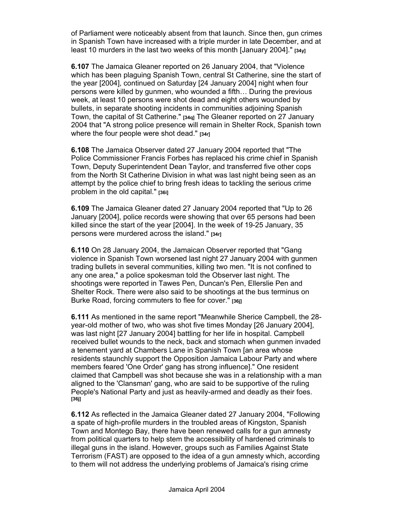of Parliament were noticeably absent from that launch. Since then, gun crimes in Spanish Town have increased with a triple murder in late December, and at least 10 murders in the last two weeks of this month [January 2004]." **[34y]**

**6.107** The Jamaica Gleaner reported on 26 January 2004, that "Violence which has been plaguing Spanish Town, central St Catherine, sine the start of the year [2004], continued on Saturday [24 January 2004] night when four persons were killed by gunmen, who wounded a fifth… During the previous week, at least 10 persons were shot dead and eight others wounded by bullets, in separate shooting incidents in communities adjoining Spanish Town, the capital of St Catherine." **[34q]** The Gleaner reported on 27 January 2004 that "A strong police presence will remain in Shelter Rock, Spanish town where the four people were shot dead." **[34r]**

**6.108** The Jamaica Observer dated 27 January 2004 reported that "The Police Commissioner Francis Forbes has replaced his crime chief in Spanish Town, Deputy Superintendent Dean Taylor, and transferred five other cops from the North St Catherine Division in what was last night being seen as an attempt by the police chief to bring fresh ideas to tackling the serious crime problem in the old capital." **[36i]**

**6.109** The Jamaica Gleaner dated 27 January 2004 reported that "Up to 26 January [2004], police records were showing that over 65 persons had been killed since the start of the year [2004]. In the week of 19-25 January, 35 persons were murdered across the island." **[34r]**

**6.110** On 28 January 2004, the Jamaican Observer reported that "Gang violence in Spanish Town worsened last night 27 January 2004 with gunmen trading bullets in several communities, killing two men. "It is not confined to any one area," a police spokesman told the Observer last night. The shootings were reported in Tawes Pen, Duncan's Pen, Ellerslie Pen and Shelter Rock. There were also said to be shootings at the bus terminus on Burke Road, forcing commuters to flee for cover." **[36j]**

**6.111** As mentioned in the same report "Meanwhile Sherice Campbell, the 28 year-old mother of two, who was shot five times Monday [26 January 2004], was last night [27 January 2004] battling for her life in hospital. Campbell received bullet wounds to the neck, back and stomach when gunmen invaded a tenement yard at Chambers Lane in Spanish Town [an area whose residents staunchly support the Opposition Jamaica Labour Party and where members feared 'One Order' gang has strong influence]." One resident claimed that Campbell was shot because she was in a relationship with a man aligned to the 'Clansman' gang, who are said to be supportive of the ruling People's National Party and just as heavily-armed and deadly as their foes. **[36j]**

**6.112** As reflected in the Jamaica Gleaner dated 27 January 2004, "Following a spate of high-profile murders in the troubled areas of Kingston, Spanish Town and Montego Bay, there have been renewed calls for a gun amnesty from political quarters to help stem the accessibility of hardened criminals to illegal guns in the island. However, groups such as Families Against State Terrorism (FAST) are opposed to the idea of a gun amnesty which, according to them will not address the underlying problems of Jamaica's rising crime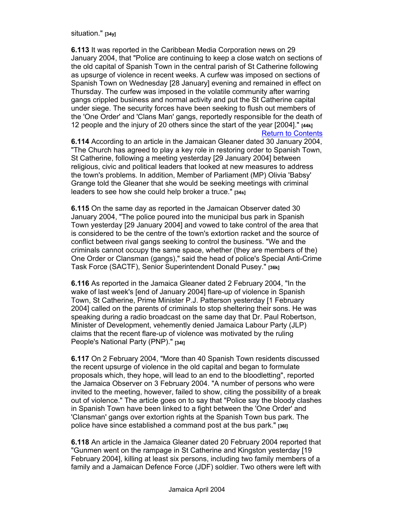situation." **[34y]**

**6.113** It was reported in the Caribbean Media Corporation news on 29 January 2004, that "Police are continuing to keep a close watch on sections of the old capital of Spanish Town in the central parish of St Catherine following as upsurge of violence in recent weeks. A curfew was imposed on sections of Spanish Town on Wednesday [28 January] evening and remained in effect on Thursday. The curfew was imposed in the volatile community after warring gangs crippled business and normal activity and put the St Catherine capital under siege. The security forces have been seeking to flush out members of the 'One Order' and 'Clans Man' gangs, reportedly responsible for the death of 12 people and the injury of 20 others since the start of the year [2004]." **[44k]** Return to Contents

**6.114** According to an article in the Jamaican Gleaner dated 30 January 2004, "The Church has agreed to play a key role in restoring order to Spanish Town, St Catherine, following a meeting yesterday [29 January 2004] between religious, civic and political leaders that looked at new measures to address the town's problems. In addition, Member of Parliament (MP) Olivia 'Babsy' Grange told the Gleaner that she would be seeking meetings with criminal leaders to see how she could help broker a truce." **[34s]**

**6.115** On the same day as reported in the Jamaican Observer dated 30 January 2004, "The police poured into the municipal bus park in Spanish Town yesterday [29 January 2004] and vowed to take control of the area that is considered to be the centre of the town's extortion racket and the source of conflict between rival gangs seeking to control the business. "We and the criminals cannot occupy the same space, whether (they are members of the) One Order or Clansman (gangs)," said the head of police's Special Anti-Crime Task Force (SACTF), Senior Superintendent Donald Pusey." **[36k]**

**6.116** As reported in the Jamaica Gleaner dated 2 February 2004, "In the wake of last week's [end of January 2004] flare-up of violence in Spanish Town, St Catherine, Prime Minister P.J. Patterson yesterday [1 February 2004] called on the parents of criminals to stop sheltering their sons. He was speaking during a radio broadcast on the same day that Dr. Paul Robertson, Minister of Development, vehemently denied Jamaica Labour Party (JLP) claims that the recent flare-up of violence was motivated by the ruling People's National Party (PNP)." **[34t]**

**6.117** On 2 February 2004, "More than 40 Spanish Town residents discussed the recent upsurge of violence in the old capital and began to formulate proposals which, they hope, will lead to an end to the bloodletting", reported the Jamaica Observer on 3 February 2004. "A number of persons who were invited to the meeting, however, failed to show, citing the possibility of a break out of violence." The article goes on to say that "Police say the bloody clashes in Spanish Town have been linked to a fight between the 'One Order' and 'Clansman' gangs over extortion rights at the Spanish Town bus park. The police have since established a command post at the bus park." **[36l]**

**6.118** An article in the Jamaica Gleaner dated 20 February 2004 reported that "Gunmen went on the rampage in St Catherine and Kingston yesterday [19 February 2004], killing at least six persons, including two family members of a family and a Jamaican Defence Force (JDF) soldier. Two others were left with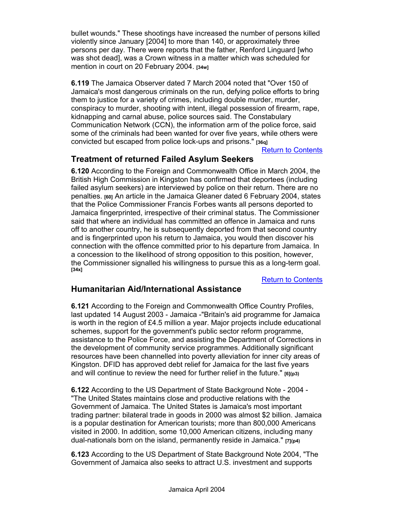bullet wounds." These shootings have increased the number of persons killed violently since January [2004] to more than 140, or approximately three persons per day. There were reports that the father, Renford Linguard [who was shot dead], was a Crown witness in a matter which was scheduled for mention in court on 20 February 2004. **[34w]**

**6.119** The Jamaica Observer dated 7 March 2004 noted that "Over 150 of Jamaica's most dangerous criminals on the run, defying police efforts to bring them to justice for a variety of crimes, including double murder, murder, conspiracy to murder, shooting with intent, illegal possession of firearm, rape, kidnapping and carnal abuse, police sources said. The Constabulary Communication Network (CCN), the information arm of the police force, said some of the criminals had been wanted for over five years, while others were convicted but escaped from police lock-ups and prisons." **[36q]**

Return to Contents

## **Treatment of returned Failed Asylum Seekers**

**6.120** According to the Foreign and Commonwealth Office in March 2004, the British High Commission in Kingston has confirmed that deportees (including failed asylum seekers) are interviewed by police on their return. There are no penalties. **[60]** An article in the Jamaica Gleaner dated 6 February 2004, states that the Police Commissioner Francis Forbes wants all persons deported to Jamaica fingerprinted, irrespective of their criminal status. The Commissioner said that where an individual has committed an offence in Jamaica and runs off to another country, he is subsequently deported from that second country and is fingerprinted upon his return to Jamaica, you would then discover his connection with the offence committed prior to his departure from Jamaica. In a concession to the likelihood of strong opposition to this position, however, the Commissioner signalled his willingness to pursue this as a long-term goal. **[34x]**

Return to Contents

### **Humanitarian Aid/International Assistance**

**6.121** According to the Foreign and Commonwealth Office Country Profiles, last updated 14 August 2003 - Jamaica -"Britain's aid programme for Jamaica is worth in the region of £4.5 million a year. Major projects include educational schemes, support for the government's public sector reform programme, assistance to the Police Force, and assisting the Department of Corrections in the development of community service programmes. Additionally significant resources have been channelled into poverty alleviation for inner city areas of Kingston. DFID has approved debt relief for Jamaica for the last five years and will continue to review the need for further relief in the future." **[6](p3)** 

**6.122** According to the US Department of State Background Note - 2004 - "The United States maintains close and productive relations with the Government of Jamaica. The United States is Jamaica's most important trading partner: bilateral trade in goods in 2000 was almost \$2 billion. Jamaica is a popular destination for American tourists; more than 800,000 Americans visited in 2000. In addition, some 10,000 American citizens, including many dual-nationals born on the island, permanently reside in Jamaica." **[7](p4)**

**6.123** According to the US Department of State Background Note 2004, "The Government of Jamaica also seeks to attract U.S. investment and supports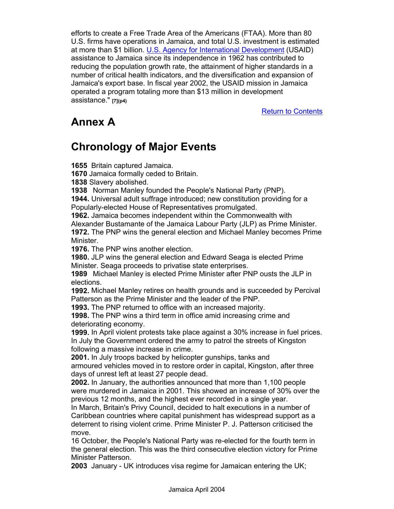efforts to create a Free Trade Area of the Americans (FTAA). More than 80 U.S. firms have operations in Jamaica, and total U.S. investment is estimated at more than \$1 billion. U.S. Agency for International Development (USAID) assistance to Jamaica since its independence in 1962 has contributed to reducing the population growth rate, the attainment of higher standards in a number of critical health indicators, and the diversification and expansion of Jamaica's export base. In fiscal year 2002, the USAID mission in Jamaica operated a program totaling more than \$13 million in development assistance." **[7](p4)**

Return to Contents

## **Annex A**

## **Chronology of Major Events**

**1655** Britain captured Jamaica.

**1670** Jamaica formally ceded to Britain.

**1838** Slavery abolished.

**1938** Norman Manley founded the People's National Party (PNP).

**1944.** Universal adult suffrage introduced; new constitution providing for a Popularly-elected House of Representatives promulgated.

**1962.** Jamaica becomes independent within the Commonwealth with Alexander Bustamante of the Jamaica Labour Party (JLP) as Prime Minister. **1972.** The PNP wins the general election and Michael Manley becomes Prime Minister.

**1976.** The PNP wins another election.

**1980.** JLP wins the general election and Edward Seaga is elected Prime Minister. Seaga proceeds to privatise state enterprises.

**1989** Michael Manley is elected Prime Minister after PNP ousts the JLP in elections.

**1992.** Michael Manley retires on health grounds and is succeeded by Percival Patterson as the Prime Minister and the leader of the PNP.

**1993.** The PNP returned to office with an increased majority.

**1998.** The PNP wins a third term in office amid increasing crime and deteriorating economy.

**1999.** In April violent protests take place against a 30% increase in fuel prices. In July the Government ordered the army to patrol the streets of Kingston following a massive increase in crime.

**2001.** In July troops backed by helicopter gunships, tanks and

armoured vehicles moved in to restore order in capital, Kingston, after three days of unrest left at least 27 people dead.

**2002.** In January, the authorities announced that more than 1,100 people were murdered in Jamaica in 2001. This showed an increase of 30% over the previous 12 months, and the highest ever recorded in a single year.

In March, Britain's Privy Council, decided to halt executions in a number of Caribbean countries where capital punishment has widespread support as a deterrent to rising violent crime. Prime Minister P. J. Patterson criticised the move.

16 October, the People's National Party was re-elected for the fourth term in the general election. This was the third consecutive election victory for Prime Minister Patterson.

**2003** January - UK introduces visa regime for Jamaican entering the UK;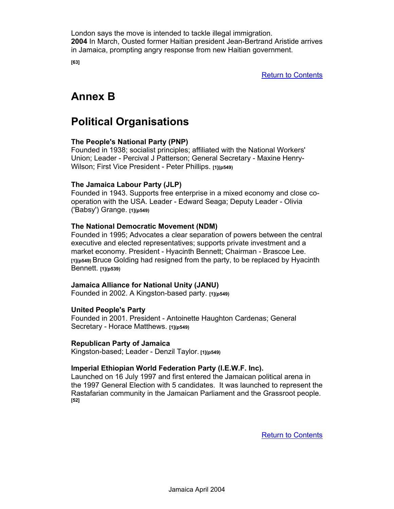London says the move is intended to tackle illegal immigration. **2004** In March, Ousted former Haitian president Jean-Bertrand Aristide arrives in Jamaica, prompting angry response from new Haitian government.

**[63]** 

Return to Contents

## **Annex B**

## **Political Organisations**

#### **The People's National Party (PNP)**

Founded in 1938; socialist principles; affiliated with the National Workers' Union; Leader - Percival J Patterson; General Secretary - Maxine Henry-Wilson; First Vice President - Peter Phillips. **[1](p549)**

#### **The Jamaica Labour Party (JLP)**

Founded in 1943. Supports free enterprise in a mixed economy and close cooperation with the USA. Leader - Edward Seaga; Deputy Leader - Olivia ('Babsy') Grange. **[1](p549)**

#### **The National Democratic Movement (NDM)**

Founded in 1995; Advocates a clear separation of powers between the central executive and elected representatives; supports private investment and a market economy. President - Hyacinth Bennett; Chairman - Brascoe Lee. **[1](p549)** Bruce Golding had resigned from the party, to be replaced by Hyacinth Bennett. **[1](p539)**

#### **Jamaica Alliance for National Unity (JANU)**

Founded in 2002. A Kingston-based party. **[1](p549)** 

#### **United People's Party**

Founded in 2001. President - Antoinette Haughton Cardenas; General Secretary - Horace Matthews. **[1](p549)**

#### **Republican Party of Jamaica**

Kingston-based; Leader - Denzil Taylor. **[1](p549)**

#### **Imperial Ethiopian World Federation Party (I.E.W.F. Inc).**

Launched on 16 July 1997 and first entered the Jamaican political arena in the 1997 General Election with 5 candidates. It was launched to represent the Rastafarian community in the Jamaican Parliament and the Grassroot people. **[52]** 

Return to Contents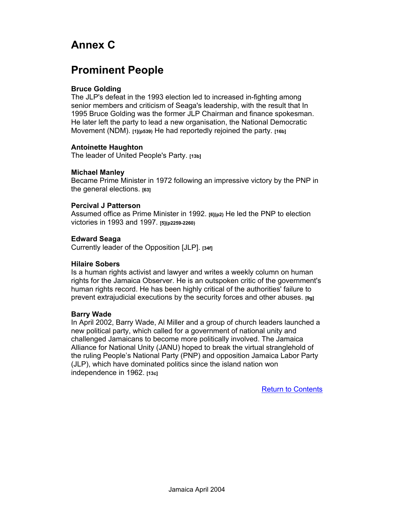## **Annex C**

## **Prominent People**

#### **Bruce Golding**

The JLP's defeat in the 1993 election led to increased in-fighting among senior members and criticism of Seaga's leadership, with the result that In 1995 Bruce Golding was the former JLP Chairman and finance spokesman. He later left the party to lead a new organisation, the National Democratic Movement (NDM). **[1](p539)** He had reportedly rejoined the party. **[16b]** 

#### **Antoinette Haughton**

The leader of United People's Party. **[13b]**

#### **Michael Manley**

Became Prime Minister in 1972 following an impressive victory by the PNP in the general elections. **[63]**

#### **Percival J Patterson**

Assumed office as Prime Minister in 1992. **[6](p2)** He led the PNP to election victories in 1993 and 1997. **[5](p2259-2260)**

#### **Edward Seaga**

Currently leader of the Opposition [JLP]. **[34f]**

#### **Hilaire Sobers**

Is a human rights activist and lawyer and writes a weekly column on human rights for the Jamaica Observer. He is an outspoken critic of the government's human rights record. He has been highly critical of the authorities' failure to prevent extrajudicial executions by the security forces and other abuses. **[9g]**

#### **Barry Wade**

In April 2002, Barry Wade, Al Miller and a group of church leaders launched a new political party, which called for a government of national unity and challenged Jamaicans to become more politically involved. The Jamaica Alliance for National Unity (JANU) hoped to break the virtual stranglehold of the ruling People's National Party (PNP) and opposition Jamaica Labor Party (JLP), which have dominated politics since the island nation won independence in 1962. **[13c]**

Return to Contents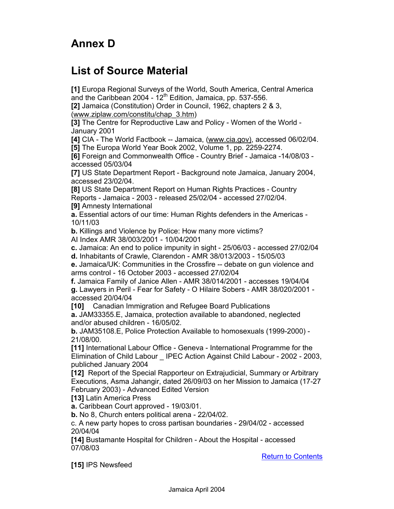## **Annex D**

## **List of Source Material**

**[1]** Europa Regional Surveys of the World, South America, Central America and the Caribbean 2004 -  $12<sup>th</sup>$  Edition, Jamaica, pp. 537-556.

**[2]** Jamaica (Constitution) Order in Council, 1962, chapters 2 & 3, (www.ziplaw.com/constitu/chap\_3.htm)

**[3]** The Centre for Reproductive Law and Policy - Women of the World - January 2001

**[4]** CIA - The World Factbook -- Jamaica, (www.cia.gov), accessed 06/02/04. **[5]** The Europa World Year Book 2002, Volume 1, pp. 2259-2274.

**[6]** Foreign and Commonwealth Office - Country Brief - Jamaica -14/08/03 accessed 05/03/04

**[7]** US State Department Report - Background note Jamaica, January 2004, accessed 23/02/04.

**[8]** US State Department Report on Human Rights Practices - Country

Reports - Jamaica - 2003 - released 25/02/04 - accessed 27/02/04.

**[9]** Amnesty International

**a.** Essential actors of our time: Human Rights defenders in the Americas - 10/11/03

**b.** Killings and Violence by Police: How many more victims?

AI Index AMR 38/003/2001 - 10/04/2001

**c.** Jamaica: An end to police impunity in sight - 25/06/03 - accessed 27/02/04

**d.** Inhabitants of Crawle, Clarendon - AMR 38/013/2003 - 15/05/03

**e.** Jamaica/UK: Communities in the Crossfire -- debate on gun violence and arms control - 16 October 2003 - accessed 27/02/04

**f.** Jamaica Family of Janice Allen - AMR 38/014/2001 - accesses 19/04/04 **g.** Lawyers in Peril - Fear for Safety - O Hilaire Sobers - AMR 38/020/2001 accessed 20/04/04

**[10]** Canadian Immigration and Refugee Board Publications

**a.** JAM33355.E, Jamaica, protection available to abandoned, neglected and/or abused children - 16/05/02.

**b.** JAM35108.E, Police Protection Available to homosexuals (1999-2000) - 21/08/00.

**[11]** International Labour Office - Geneva - International Programme for the Elimination of Child Labour \_ IPEC Action Against Child Labour - 2002 - 2003, publiched January 2004

**[12]** Report of the Special Rapporteur on Extrajudicial, Summary or Arbitrary Executions, Asma Jahangir, dated 26/09/03 on her Mission to Jamaica (17-27 February 2003) - Advanced Edited Version

**[13]** Latin America Press

**a.** Caribbean Court approved - 19/03/01.

**b.** No 8, Church enters political arena - 22/04/02.

c. A new party hopes to cross partisan boundaries - 29/04/02 - accessed 20/04/04

**[14]** Bustamante Hospital for Children - About the Hospital - accessed 07/08/03

Return to Contents

**[15]** IPS Newsfeed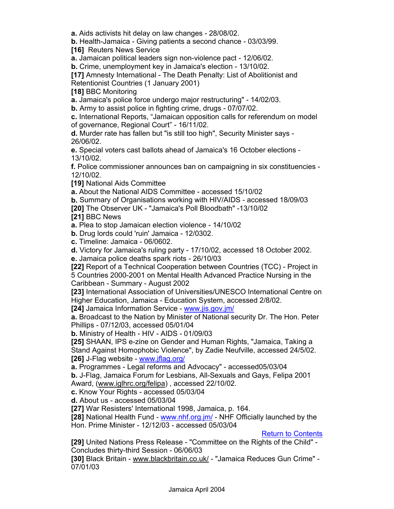**a.** Aids activists hit delay on law changes - 28/08/02.

**b.** Health-Jamaica - Giving patients a second chance - 03/03/99.

**[16]** Reuters News Service

**a.** Jamaican political leaders sign non-violence pact - 12/06/02.

**b.** Crime, unemployment key in Jamaica's election - 13/10/02.

**[17]** Amnesty International - The Death Penalty: List of Abolitionist and

Retentionist Countries (1 January 2001)

**[18]** BBC Monitoring

**a.** Jamaica's police force undergo major restructuring" - 14/02/03.

**b.** Army to assist police in fighting crime, drugs - 07/07/02.

**c.** International Reports, "Jamaican opposition calls for referendum on model of governance, Regional Court" - 16/11/02.

**d.** Murder rate has fallen but "is still too high", Security Minister says - 26/06/02.

**e.** Special voters cast ballots ahead of Jamaica's 16 October elections - 13/10/02.

**f.** Police commissioner announces ban on campaigning in six constituencies - 12/10/02.

**[19]** National Aids Committee

**a.** About the National AIDS Committee - accessed 15/10/02

**b.** Summary of Organisations working with HIV/AIDS - accessed 18/09/03

**[20]** The Observer UK - "Jamaica's Poll Bloodbath" -13/10/02

**[21]** BBC News

**a.** Plea to stop Jamaican election violence - 14/10/02

**b.** Drug lords could 'ruin' Jamaica - 12/0302.

**c.** Timeline: Jamaica - 06/0602.

**d.** Victory for Jamaica's ruling party - 17/10/02, accessed 18 October 2002.

**e.** Jamaica police deaths spark riots - 26/10/03

**[22]** Report of a Technical Cooperation between Countries (TCC) - Project in 5 Countries 2000-2001 on Mental Health Advanced Practice Nursing in the Caribbean - Summary - August 2002

**[23]** International Association of Universities/UNESCO International Centre on Higher Education, Jamaica - Education System, accessed 2/8/02.

**[24]** Jamaica Information Service - www.jis.gov.jm/

**a.** Broadcast to the Nation by Minister of National security Dr. The Hon. Peter Phillips - 07/12/03, accessed 05/01/04

**b.** Ministry of Health - HIV - AIDS - 01/09/03

**[25]** SHAAN, IPS e-zine on Gender and Human Rights, "Jamaica, Taking a Stand Against Homophobic Violence", by Zadie Neufville, accessed 24/5/02. **[26]** J-Flag website - www.jflag.org/

**a.** Programmes - Legal reforms and Advocacy" - accessed05/03/04

**b.** J-Flag, Jamaica Forum for Lesbians, All-Sexuals and Gays, Felipa 2001 Award, (www.iglhrc.org/felipa) , accessed 22/10/02.

**c.** Know Your Rights - accessed 05/03/04

**d.** About us - accessed 05/03/04

**[27]** War Resisters' International 1998, Jamaica, p. 164.

**[28]** National Health Fund - www.nhf.org.jm/ - NHF Officially launched by the Hon. Prime Minister - 12/12/03 - accessed 05/03/04

Return to Contents

**[29]** United Nations Press Release - "Committee on the Rights of the Child" - Concludes thirty-third Session - 06/06/03

**[30]** Black Britain - www.blackbritain.co.uk/ - "Jamaica Reduces Gun Crime" - 07/01/03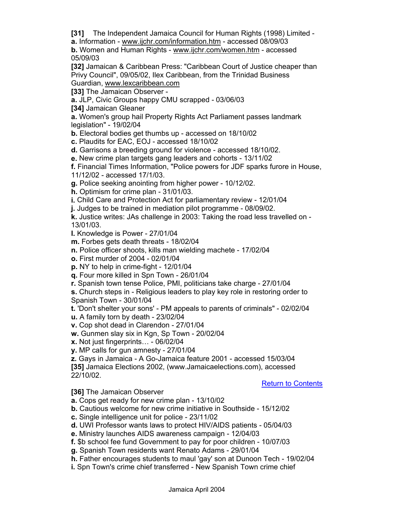**[31]** The Independent Jamaica Council for Human Rights (1998) Limited -

**a.** Information - www.ijchr.com/information.htm - accessed 08/09/03

**b.** Women and Human Rights - www.ijchr.com/women.htm - accessed 05/09/03

**[32]** Jamaican & Caribbean Press: "Caribbean Court of Justice cheaper than Privy Council", 09/05/02, Ilex Caribbean, from the Trinidad Business Guardian, www.lexcaribbean.com

**[33]** The Jamaican Observer -

**a.** JLP, Civic Groups happy CMU scrapped - 03/06/03

**[34]** Jamaican Gleaner

**a.** Women's group hail Property Rights Act Parliament passes landmark legislation" - 19/02/04

**b.** Electoral bodies get thumbs up - accessed on 18/10/02

**c.** Plaudits for EAC, EOJ - accessed 18/10/02

**d.** Garrisons a breeding ground for violence - accessed 18/10/02.

**e.** New crime plan targets gang leaders and cohorts - 13/11/02

**f.** Financial Times Information, "Police powers for JDF sparks furore in House, 11/12/02 - accessed 17/1/03.

**g.** Police seeking anointing from higher power - 10/12/02.

**h.** Optimism for crime plan - 31/01/03.

**i.** Child Care and Protection Act for parliamentary review - 12/01/04

**j.** Judges to be trained in mediation pilot programme - 08/09/02.

**k.** Justice writes: JAs challenge in 2003: Taking the road less travelled on - 13/01/03.

**l.** Knowledge is Power - 27/01/04

**m.** Forbes gets death threats - 18/02/04

**n.** Police officer shoots, kills man wielding machete - 17/02/04

**o.** First murder of 2004 - 02/01/04

**p.** NY to help in crime-fight - 12/01/04

**q.** Four more killed in Spn Town - 26/01/04

**r.** Spanish town tense Police, PMI, politicians take charge - 27/01/04

**s.** Church steps in - Religious leaders to play key role in restoring order to Spanish Town - 30/01/04

**t.** 'Don't shelter your sons' - PM appeals to parents of criminals" - 02/02/04

**u.** A family torn by death - 23/02/04

**v.** Cop shot dead in Clarendon - 27/01/04

**w.** Gunmen slay six in Kgn, Sp Town - 20/02/04

**x.** Not just fingerprints… - 06/02/04

**y.** MP calls for gun amnesty - 27/01/04

**z.** Gays in Jamaica - A Go-Jamaica feature 2001 - accessed 15/03/04

**[35]** Jamaica Elections 2002, (www.Jamaicaelections.com), accessed 22/10/02.

Return to Contents

**[36]** The Jamaican Observer

**a.** Cops get ready for new crime plan - 13/10/02

**b.** Cautious welcome for new crime initiative in Southside - 15/12/02

**c.** Single intelligence unit for police - 23/11/02

**d.** UWI Professor wants laws to protect HIV/AIDS patients - 05/04/03

**e.** Ministry launches AIDS awareness campaign - 12/04/03

**f.** \$b school fee fund Government to pay for poor children - 10/07/03

**g.** Spanish Town residents want Renato Adams - 29/01/04

**h.** Father encourages students to maul 'gay' son at Dunoon Tech - 19/02/04

**i.** Spn Town's crime chief transferred - New Spanish Town crime chief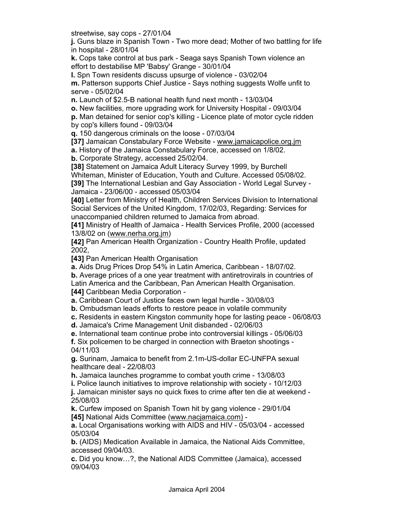streetwise, say cops - 27/01/04

**j.** Guns blaze in Spanish Town - Two more dead; Mother of two battling for life in hospital - 28/01/04

**k.** Cops take control at bus park - Seaga says Spanish Town violence an effort to destabilise MP 'Babsy' Grange - 30/01/04

**l.** Spn Town residents discuss upsurge of violence - 03/02/04 **m.** Patterson supports Chief Justice - Says nothing suggests Wolfe unfit to serve - 05/02/04

**n.** Launch of \$2.5-B national health fund next month - 13/03/04

**o.** New facilities, more upgrading work for University Hospital - 09/03/04

**p.** Man detained for senior cop's killing - Licence plate of motor cycle ridden by cop's killers found - 09/03/04

**q.** 150 dangerous criminals on the loose - 07/03/04

**[37]** Jamaican Constabulary Force Website - www.jamaicapolice.org.jm

**a.** History of the Jamaica Constabulary Force, accessed on 1/8/02.

**b.** Corporate Strategy, accessed 25/02/04.

**[38]** Statement on Jamaica Adult Literacy Survey 1999, by Burchell

Whiteman, Minister of Education, Youth and Culture. Accessed 05/08/02. **[39]** The International Lesbian and Gay Association - World Legal Survey -

Jamaica - 23/06/00 - accessed 05/03/04

**[40]** Letter from Ministry of Health, Children Services Division to International Social Services of the United Kingdom, 17/02/03, Regarding: Services for unaccompanied children returned to Jamaica from abroad.

**[41]** Ministry of Health of Jamaica - Health Services Profile, 2000 (accessed 13/8/02 on (www.nerha.org.jm)

**[42]** Pan American Health Organization - Country Health Profile, updated 2002,

**[43]** Pan American Health Organisation

**a.** Aids Drug Prices Drop 54% in Latin America, Caribbean - 18/07/02.

**b.** Average prices of a one year treatment with antiretrovirals in countries of Latin America and the Caribbean, Pan American Health Organisation.

**[44]** Caribbean Media Corporation -

**a.** Caribbean Court of Justice faces own legal hurdle - 30/08/03

**b.** Ombudsman leads efforts to restore peace in volatile community

**c.** Residents in eastern Kingston community hope for lasting peace - 06/08/03

**d.** Jamaica's Crime Management Unit disbanded - 02/06/03

**e.** International team continue probe into controversial killings - 05/06/03

**f.** Six policemen to be charged in connection with Braeton shootings - 04/11/03

**g.** Surinam, Jamaica to benefit from 2.1m-US-dollar EC-UNFPA sexual healthcare deal - 22/08/03

**h.** Jamaica launches programme to combat youth crime - 13/08/03

**i.** Police launch initiatives to improve relationship with society - 10/12/03

**j.** Jamaican minister says no quick fixes to crime after ten die at weekend - 25/08/03

**k.** Curfew imposed on Spanish Town hit by gang violence - 29/01/04 **[45]** National Aids Committee (www.nacjamaica.com) -

**a.** Local Organisations working with AIDS and HIV - 05/03/04 - accessed 05/03/04

**b.** (AIDS) Medication Available in Jamaica, the National Aids Committee, accessed 09/04/03.

**c.** Did you know…?, the National AIDS Committee (Jamaica), accessed 09/04/03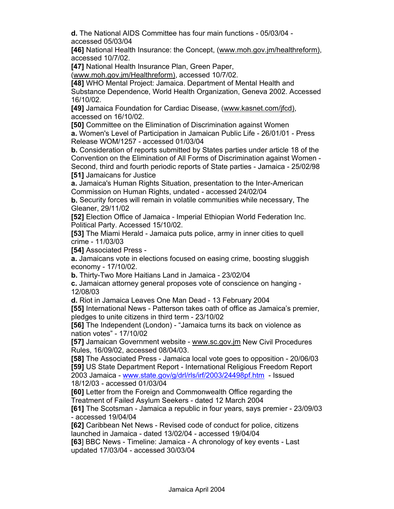**d.** The National AIDS Committee has four main functions - 05/03/04 accessed 05/03/04

**[46]** National Health Insurance: the Concept, (www.moh.gov.jm/healthreform), accessed 10/7/02.

**[47]** National Health Insurance Plan, Green Paper,

(www.moh.gov.jm/Healthreform), accessed 10/7/02.

**[48]** WHO Mental Project: Jamaica. Department of Mental Health and Substance Dependence, World Health Organization, Geneva 2002. Accessed

16/10/02.

**[49]** Jamaica Foundation for Cardiac Disease, (www.kasnet.com/jfcd), accessed on 16/10/02.

**[50]** Committee on the Elimination of Discrimination against Women

**a.** Women's Level of Participation in Jamaican Public Life - 26/01/01 - Press Release WOM/1257 - accessed 01/03/04

**b.** Consideration of reports submitted by States parties under article 18 of the Convention on the Elimination of All Forms of Discrimination against Women - Second, third and fourth periodic reports of State parties - Jamaica - 25/02/98 **[51]** Jamaicans for Justice

**a.** Jamaica's Human Rights Situation, presentation to the Inter-American Commission on Human Rights, undated - accessed 24/02/04

**b.** Security forces will remain in volatile communities while necessary, The Gleaner, 29/11/02

**[52]** Election Office of Jamaica - Imperial Ethiopian World Federation Inc. Political Party. Accessed 15/10/02.

**[53]** The Miami Herald - Jamaica puts police, army in inner cities to quell crime - 11/03/03

**[54]** Associated Press -

**a.** Jamaicans vote in elections focused on easing crime, boosting sluggish economy - 17/10/02.

**b.** Thirty-Two More Haitians Land in Jamaica - 23/02/04

**c.** Jamaican attorney general proposes vote of conscience on hanging - 12/08/03

**d.** Riot in Jamaica Leaves One Man Dead - 13 February 2004

**[55]** International News - Patterson takes oath of office as Jamaica's premier, pledges to unite citizens in third term - 23/10/02

**[56]** The Independent (London) - "Jamaica turns its back on violence as nation votes" - 17/10/02

**[57]** Jamaican Government website - www.sc.gov.jm New Civil Procedures Rules, 16/09/02, accessed 08/04/03.

**[58]** The Associated Press - Jamaica local vote goes to opposition - 20/06/03 **[59]** US State Department Report - International Religious Freedom Report 2003 Jamaica - www.state.gov/g/drl/rls/irf/2003/24498pf.htm - Issued 18/12/03 - accessed 01/03/04

**[60]** Letter from the Foreign and Commonwealth Office regarding the Treatment of Failed Asylum Seekers - dated 12 March 2004

**[61]** The Scotsman - Jamaica a republic in four years, says premier - 23/09/03 - accessed 19/04/04

**[62]** Caribbean Net News - Revised code of conduct for police, citizens launched in Jamaica - dated 13/02/04 - accessed 19/04/04

**[63**] BBC News - Timeline: Jamaica - A chronology of key events - Last updated 17/03/04 - accessed 30/03/04